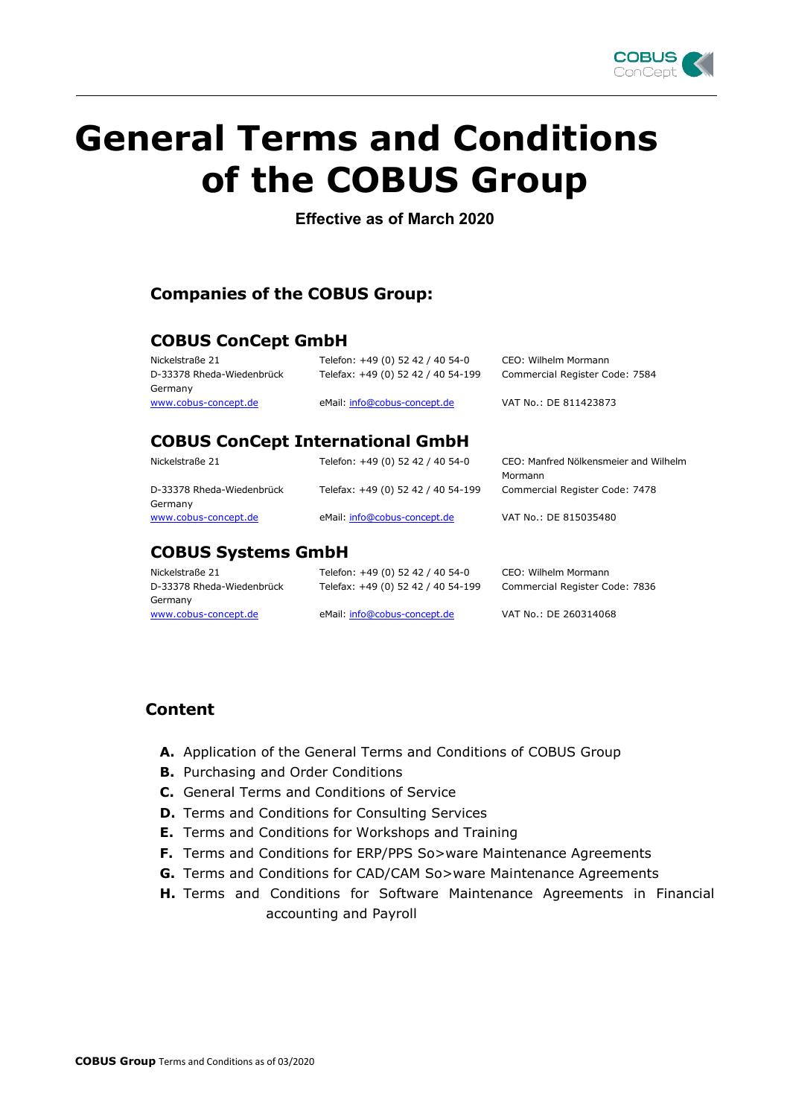

# **General Terms and Conditions of the COBUS Group**

**Effective as of March 2020**

## **Companies of the COBUS Group:**

## **COBUS ConCept GmbH**

| Nickelstraße 21<br>D-33378 Rheda-Wiedenbrück | Telefon: +49 (0) 52 42 / 40 54-0<br>Telefax: +49 (0) 52 42 / 40 54-199 | CEO: Wilhelm Mormann<br>Commercial Register Code: 7584 |
|----------------------------------------------|------------------------------------------------------------------------|--------------------------------------------------------|
| Germany<br>www.cobus-concept.de              | eMail: info@cobus-concept.de                                           | VAT No.: DE 811423873                                  |
| <b>COBUS ConCept International GmbH</b>      |                                                                        |                                                        |
| Nickelstraße 21                              | Telefon: +49 (0) 52 42 / 40 54-0                                       | CEO: Manfred Nölkensmeier and Wilhelm<br>Mormann       |

D-33378 Rheda-Wiedenbrück Germany

Telefax: +49 (0) 52 42 / 40 54-199 Commercial Register Code: 7478 [www.cobus-concept.de](http://www.netatwork.de/) eMail[: info@cobus-concept.de](mailto:info@cobus-concept.de) VAT No.: DE 815035480

## **COBUS Systems GmbH**

D-33378 Rheda-Wiedenbrück Germany [www.cobus-concept.de](http://www.netatwork.de/) eMail[: info@cobus-concept.de](mailto:info@cobus-concept.de) VAT No.: DE 260314068

Nickelstraße 21 Telefon: +49 (0) 52 42 / 40 54-0 CEO: Wilhelm Mormann Telefax: +49 (0) 52 42 / 40 54-199 Commercial Register Code: 7836

## **Content**

- **A.** Application of the General Terms and Conditions of COBUS Group
- **B.** Purchasing and Order Conditions
- **C.** General Terms and Conditions of Service
- **D.** Terms and Conditions for Consulting Services
- **E.** Terms and Conditions for Workshops and Training
- **F.** Terms and Conditions for ERP/PPS So>ware Maintenance Agreements
- **G.** Terms and Conditions for CAD/CAM So>ware Maintenance Agreements
- **H.** Terms and Conditions for Software Maintenance Agreements in Financial accounting and Payroll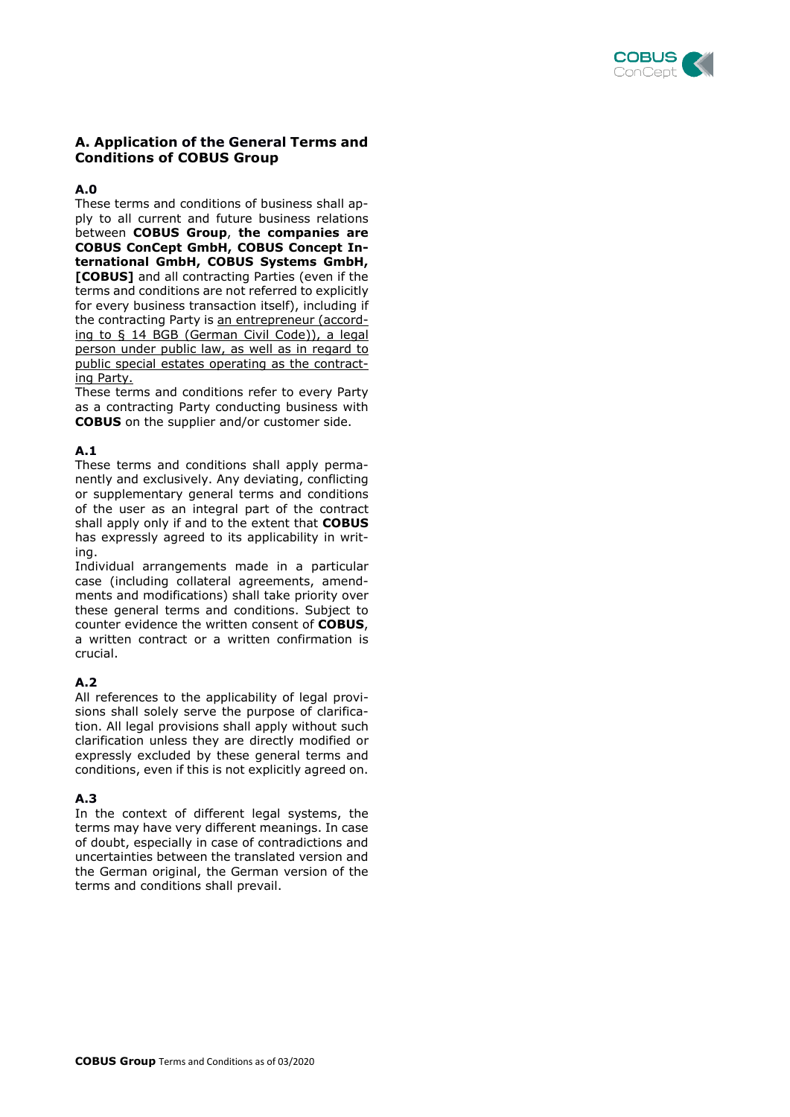

## **A. Application of the General Terms and Conditions of COBUS Group**

#### **A.0**

These terms and conditions of business shall apply to all current and future business relations between **COBUS Group**, **the companies are COBUS ConCept GmbH, COBUS Concept International GmbH, COBUS Systems GmbH, [COBUS]** and all contracting Parties (even if the terms and conditions are not referred to explicitly for every business transaction itself), including if the contracting Party is an entrepreneur (according to § 14 BGB (German Civil Code)), a legal person under public law, as well as in regard to public special estates operating as the contracting Party.

These terms and conditions refer to every Party as a contracting Party conducting business with **COBUS** on the supplier and/or customer side.

## **A.1**

These terms and conditions shall apply permanently and exclusively. Any deviating, conflicting or supplementary general terms and conditions of the user as an integral part of the contract shall apply only if and to the extent that **COBUS** has expressly agreed to its applicability in writing.

Individual arrangements made in a particular case (including collateral agreements, amendments and modifications) shall take priority over these general terms and conditions. Subject to counter evidence the written consent of **COBUS**, a written contract or a written confirmation is crucial.

## **A.2**

All references to the applicability of legal provisions shall solely serve the purpose of clarification. All legal provisions shall apply without such clarification unless they are directly modified or expressly excluded by these general terms and conditions, even if this is not explicitly agreed on.

#### **A.3**

In the context of different legal systems, the terms may have very different meanings. In case of doubt, especially in case of contradictions and uncertainties between the translated version and the German original, the German version of the terms and conditions shall prevail.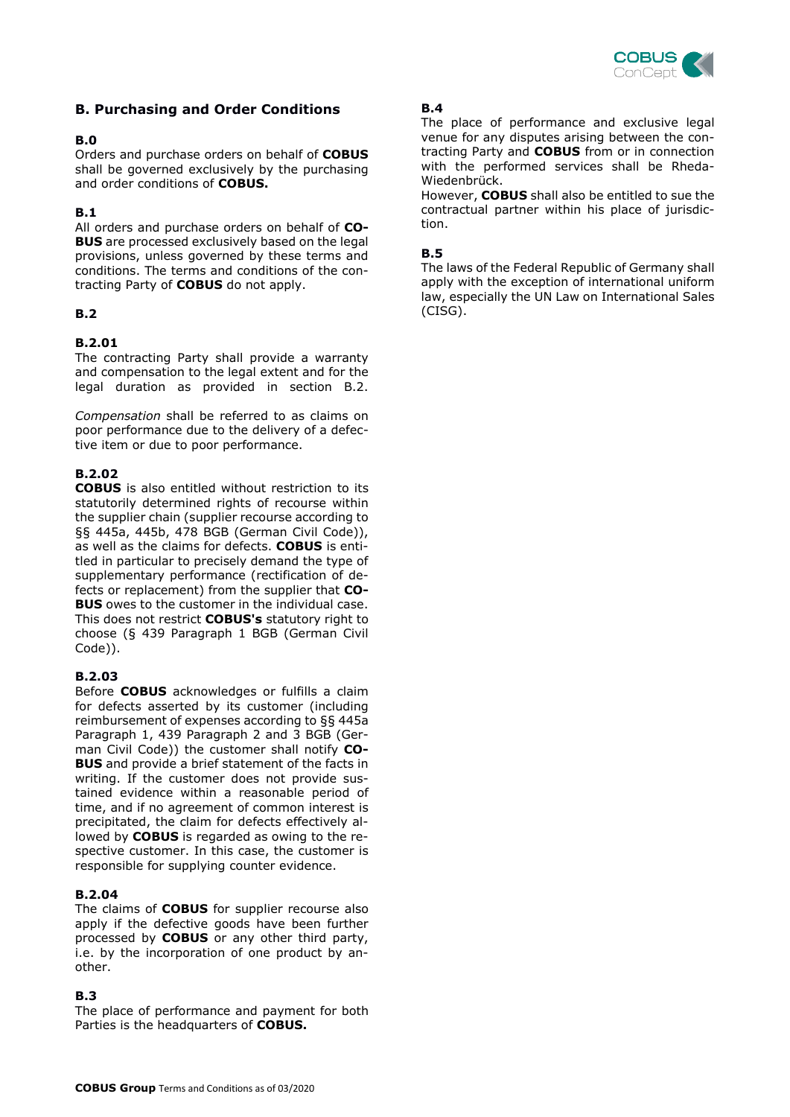

## **B. Purchasing and Order Conditions**

## **B.0**

Orders and purchase orders on behalf of **COBUS** shall be governed exclusively by the purchasing and order conditions of **COBUS.** 

## **B.1**

All orders and purchase orders on behalf of **CO-BUS** are processed exclusively based on the legal provisions, unless governed by these terms and conditions. The terms and conditions of the contracting Party of **COBUS** do not apply.

## **B.2**

## **B.2.01**

The contracting Party shall provide a warranty and compensation to the legal extent and for the legal duration as provided in section B.2.

*Compensation* shall be referred to as claims on poor performance due to the delivery of a defective item or due to poor performance.

## **B.2.02**

**COBUS** is also entitled without restriction to its statutorily determined rights of recourse within the supplier chain (supplier recourse according to §§ 445a, 445b, 478 BGB (German Civil Code)), as well as the claims for defects. **COBUS** is entitled in particular to precisely demand the type of supplementary performance (rectification of defects or replacement) from the supplier that **CO-BUS** owes to the customer in the individual case. This does not restrict **COBUS's** statutory right to choose (§ 439 Paragraph 1 BGB (German Civil Code)).

## **B.2.03**

Before **COBUS** acknowledges or fulfills a claim for defects asserted by its customer (including reimbursement of expenses according to §§ 445a Paragraph 1, 439 Paragraph 2 and 3 BGB (German Civil Code)) the customer shall notify **CO-BUS** and provide a brief statement of the facts in writing. If the customer does not provide sustained evidence within a reasonable period of time, and if no agreement of common interest is precipitated, the claim for defects effectively allowed by **COBUS** is regarded as owing to the respective customer. In this case, the customer is responsible for supplying counter evidence.

#### **B.2.04**

The claims of **COBUS** for supplier recourse also apply if the defective goods have been further processed by **COBUS** or any other third party, i.e. by the incorporation of one product by another.

## **B.3**

The place of performance and payment for both Parties is the headquarters of **COBUS.**

## **B.4**

The place of performance and exclusive legal venue for any disputes arising between the contracting Party and **COBUS** from or in connection with the performed services shall be Rheda-Wiedenbrück.

However, **COBUS** shall also be entitled to sue the contractual partner within his place of jurisdiction.

## **B.5**

The laws of the Federal Republic of Germany shall apply with the exception of international uniform law, especially the UN Law on International Sales (CISG).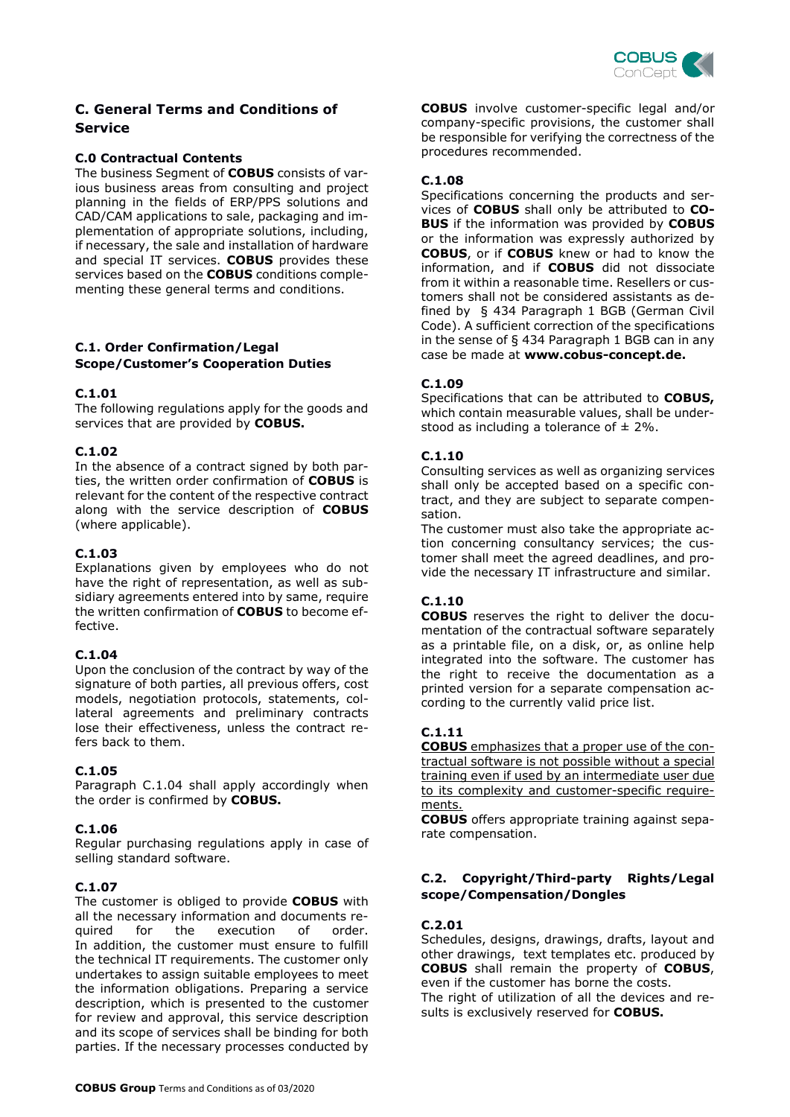

## **C. General Terms and Conditions of Service**

## **C.0 Contractual Contents**

The business Segment of **COBUS** consists of various business areas from consulting and project planning in the fields of ERP/PPS solutions and CAD/CAM applications to sale, packaging and implementation of appropriate solutions, including, if necessary, the sale and installation of hardware and special IT services. **COBUS** provides these services based on the **COBUS** conditions complementing these general terms and conditions.

## **C.1. Order Confirmation/Legal Scope/Customer's Cooperation Duties**

#### **C.1.01**

The following regulations apply for the goods and services that are provided by **COBUS.**

#### **C.1.02**

In the absence of a contract signed by both parties, the written order confirmation of **COBUS** is relevant for the content of the respective contract along with the service description of **COBUS** (where applicable).

## **C.1.03**

Explanations given by employees who do not have the right of representation, as well as subsidiary agreements entered into by same, require the written confirmation of **COBUS** to become effective.

#### **C.1.04**

Upon the conclusion of the contract by way of the signature of both parties, all previous offers, cost models, negotiation protocols, statements, collateral agreements and preliminary contracts lose their effectiveness, unless the contract refers back to them.

#### **C.1.05**

Paragraph C.1.04 shall apply accordingly when the order is confirmed by **COBUS.**

#### **C.1.06**

Regular purchasing regulations apply in case of selling standard software.

#### **C.1.07**

The customer is obliged to provide **COBUS** with all the necessary information and documents required for the execution of order. In addition, the customer must ensure to fulfill the technical IT requirements. The customer only undertakes to assign suitable employees to meet the information obligations. Preparing a service description, which is presented to the customer for review and approval, this service description and its scope of services shall be binding for both parties. If the necessary processes conducted by **COBUS** involve customer-specific legal and/or company-specific provisions, the customer shall be responsible for verifying the correctness of the procedures recommended.

#### **C.1.08**

Specifications concerning the products and services of **COBUS** shall only be attributed to **CO-BUS** if the information was provided by **COBUS** or the information was expressly authorized by **COBUS**, or if **COBUS** knew or had to know the information, and if **COBUS** did not dissociate from it within a reasonable time. Resellers or customers shall not be considered assistants as defined by § 434 Paragraph 1 BGB (German Civil Code). A sufficient correction of the specifications in the sense of § 434 Paragraph 1 BGB can in any case be made at **www.cobus-concept.de.**

#### **C.1.09**

Specifications that can be attributed to **COBUS,** which contain measurable values, shall be understood as including a tolerance of  $\pm$  2%.

## **C.1.10**

Consulting services as well as organizing services shall only be accepted based on a specific contract, and they are subject to separate compensation.

The customer must also take the appropriate action concerning consultancy services; the customer shall meet the agreed deadlines, and provide the necessary IT infrastructure and similar.

## **C.1.10**

**COBUS** reserves the right to deliver the documentation of the contractual software separately as a printable file, on a disk, or, as online help integrated into the software. The customer has the right to receive the documentation as a printed version for a separate compensation according to the currently valid price list.

## **C.1.11**

**COBUS** emphasizes that a proper use of the contractual software is not possible without a special training even if used by an intermediate user due to its complexity and customer-specific requirements.

**COBUS** offers appropriate training against separate compensation.

## **C.2. Copyright/Third-party Rights/Legal scope/Compensation/Dongles**

#### **C.2.01**

Schedules, designs, drawings, drafts, layout and other drawings, text templates etc. produced by **COBUS** shall remain the property of **COBUS**, even if the customer has borne the costs. The right of utilization of all the devices and results is exclusively reserved for **COBUS.**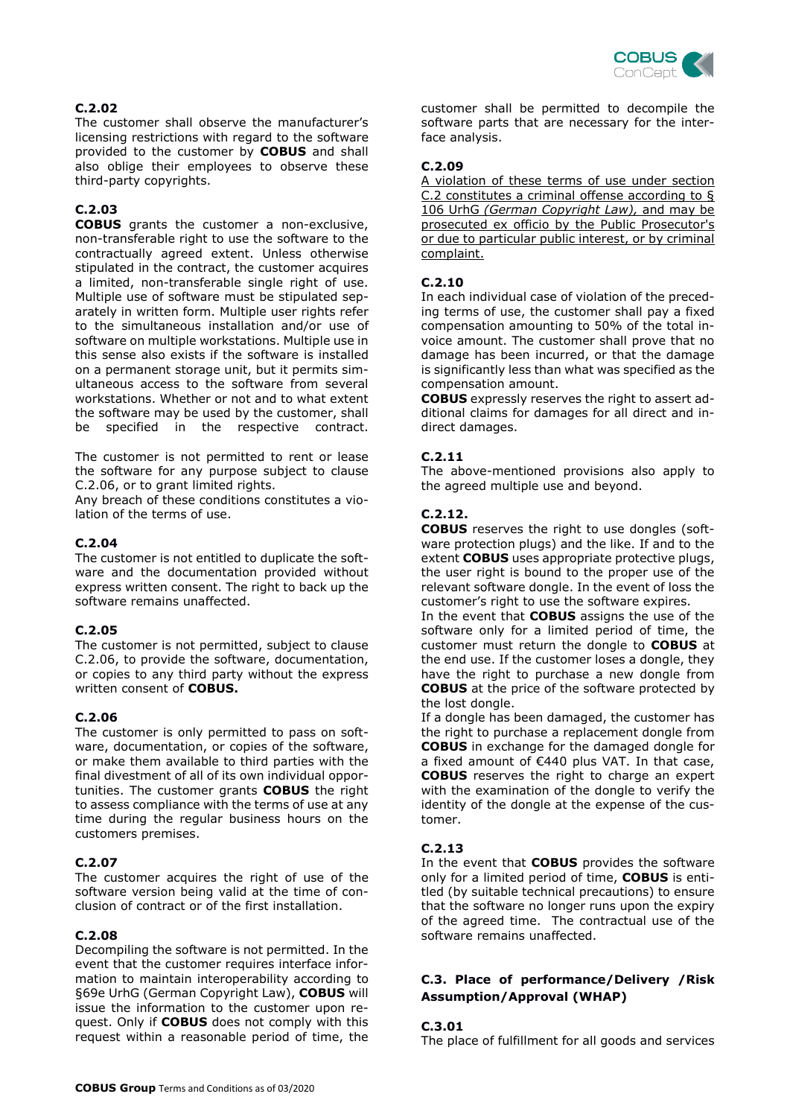

## **C.2.02**

The customer shall observe the manufacturer's licensing restrictions with regard to the software provided to the customer by **COBUS** and shall also oblige their employees to observe these third-party copyrights.

## **C.2.03**

**COBUS** grants the customer a non-exclusive, non-transferable right to use the software to the contractually agreed extent. Unless otherwise stipulated in the contract, the customer acquires a limited, non-transferable single right of use. Multiple use of software must be stipulated separately in written form. Multiple user rights refer to the simultaneous installation and/or use of software on multiple workstations. Multiple use in this sense also exists if the software is installed on a permanent storage unit, but it permits simultaneous access to the software from several workstations. Whether or not and to what extent the software may be used by the customer, shall be specified in the respective contract.

The customer is not permitted to rent or lease the software for any purpose subject to clause C.2.06, or to grant limited rights.

Any breach of these conditions constitutes a violation of the terms of use.

#### **C.2.04**

The customer is not entitled to duplicate the software and the documentation provided without express written consent. The right to back up the software remains unaffected.

#### **C.2.05**

The customer is not permitted, subject to clause C.2.06, to provide the software, documentation, or copies to any third party without the express written consent of **COBUS.**

#### **C.2.06**

The customer is only permitted to pass on software, documentation, or copies of the software, or make them available to third parties with the final divestment of all of its own individual opportunities. The customer grants **COBUS** the right to assess compliance with the terms of use at any time during the regular business hours on the customers premises.

#### **C.2.07**

The customer acquires the right of use of the software version being valid at the time of conclusion of contract or of the first installation.

#### **C.2.08**

Decompiling the software is not permitted. In the event that the customer requires interface information to maintain interoperability according to §69e UrhG (German Copyright Law), **COBUS** will issue the information to the customer upon request. Only if **COBUS** does not comply with this request within a reasonable period of time, the customer shall be permitted to decompile the software parts that are necessary for the interface analysis.

## **C.2.09**

A violation of these terms of use under section C.2 constitutes a criminal offense according to § 106 UrhG *(German Copyright Law),* and may be prosecuted ex officio by the Public Prosecutor's or due to particular public interest, or by criminal complaint.

## **C.2.10**

In each individual case of violation of the preceding terms of use, the customer shall pay a fixed compensation amounting to 50% of the total invoice amount. The customer shall prove that no damage has been incurred, or that the damage is significantly less than what was specified as the compensation amount.

**COBUS** expressly reserves the right to assert additional claims for damages for all direct and indirect damages.

## **C.2.11**

The above-mentioned provisions also apply to the agreed multiple use and beyond.

## **C.2.12.**

**COBUS** reserves the right to use dongles (software protection plugs) and the like. If and to the extent **COBUS** uses appropriate protective plugs, the user right is bound to the proper use of the relevant software dongle. In the event of loss the customer's right to use the software expires.

In the event that **COBUS** assigns the use of the software only for a limited period of time, the customer must return the dongle to **COBUS** at the end use. If the customer loses a dongle, they have the right to purchase a new dongle from **COBUS** at the price of the software protected by the lost dongle.

If a dongle has been damaged, the customer has the right to purchase a replacement dongle from **COBUS** in exchange for the damaged dongle for a fixed amount of €440 plus VAT. In that case, **COBUS** reserves the right to charge an expert with the examination of the dongle to verify the identity of the dongle at the expense of the customer.

## **C.2.13**

In the event that **COBUS** provides the software only for a limited period of time, **COBUS** is entitled (by suitable technical precautions) to ensure that the software no longer runs upon the expiry of the agreed time. The contractual use of the software remains unaffected.

## **C.3. Place of performance/Delivery /Risk Assumption/Approval (WHAP)**

## **C.3.01**

The place of fulfillment for all goods and services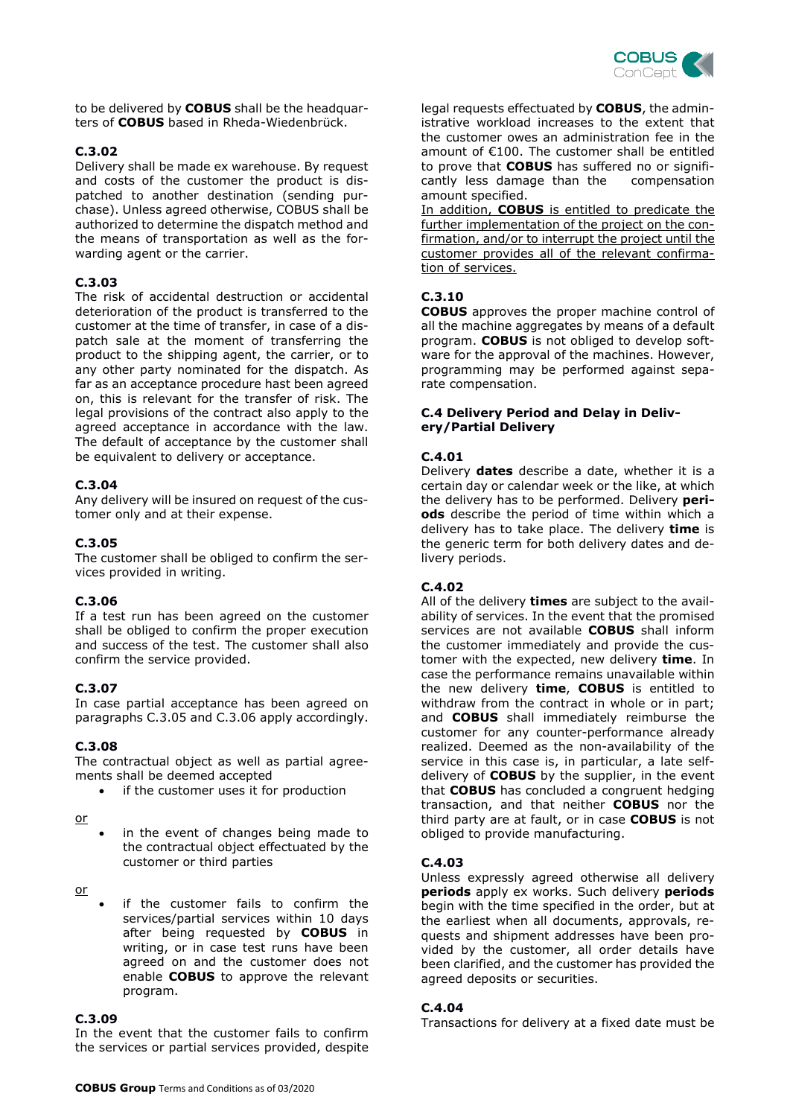

to be delivered by **COBUS** shall be the headquarters of **COBUS** based in Rheda-Wiedenbrück.

#### **C.3.02**

Delivery shall be made ex warehouse. By request and costs of the customer the product is dispatched to another destination (sending purchase). Unless agreed otherwise, COBUS shall be authorized to determine the dispatch method and the means of transportation as well as the forwarding agent or the carrier.

#### **C.3.03**

The risk of accidental destruction or accidental deterioration of the product is transferred to the customer at the time of transfer, in case of a dispatch sale at the moment of transferring the product to the shipping agent, the carrier, or to any other party nominated for the dispatch. As far as an acceptance procedure hast been agreed on, this is relevant for the transfer of risk. The legal provisions of the contract also apply to the agreed acceptance in accordance with the law. The default of acceptance by the customer shall be equivalent to delivery or acceptance.

## **C.3.04**

Any delivery will be insured on request of the customer only and at their expense.

## **C.3.05**

The customer shall be obliged to confirm the services provided in writing.

#### **C.3.06**

If a test run has been agreed on the customer shall be obliged to confirm the proper execution and success of the test. The customer shall also confirm the service provided.

## **C.3.07**

In case partial acceptance has been agreed on paragraphs C.3.05 and C.3.06 apply accordingly.

#### **C.3.08**

The contractual object as well as partial agreements shall be deemed accepted

if the customer uses it for production

#### or

in the event of changes being made to the contractual object effectuated by the customer or third parties

or

if the customer fails to confirm the services/partial services within 10 days after being requested by **COBUS** in writing, or in case test runs have been agreed on and the customer does not enable **COBUS** to approve the relevant program.

#### **C.3.09**

In the event that the customer fails to confirm the services or partial services provided, despite legal requests effectuated by **COBUS**, the administrative workload increases to the extent that the customer owes an administration fee in the amount of €100. The customer shall be entitled to prove that **COBUS** has suffered no or significantly less damage than the compensation cantly less damage than the amount specified.

In addition, **COBUS** is entitled to predicate the further implementation of the project on the confirmation, and/or to interrupt the project until the customer provides all of the relevant confirmation of services.

## **C.3.10**

**COBUS** approves the proper machine control of all the machine aggregates by means of a default program. **COBUS** is not obliged to develop software for the approval of the machines. However, programming may be performed against separate compensation.

#### **C.4 Delivery Period and Delay in Delivery/Partial Delivery**

#### **C.4.01**

Delivery **dates** describe a date, whether it is a certain day or calendar week or the like, at which the delivery has to be performed. Delivery **periods** describe the period of time within which a delivery has to take place. The delivery **time** is the generic term for both delivery dates and delivery periods.

## **C.4.02**

All of the delivery **times** are subject to the availability of services. In the event that the promised services are not available **COBUS** shall inform the customer immediately and provide the customer with the expected, new delivery **time**. In case the performance remains unavailable within the new delivery **time**, **COBUS** is entitled to withdraw from the contract in whole or in part; and **COBUS** shall immediately reimburse the customer for any counter-performance already realized. Deemed as the non-availability of the service in this case is, in particular, a late selfdelivery of **COBUS** by the supplier, in the event that **COBUS** has concluded a congruent hedging transaction, and that neither **COBUS** nor the third party are at fault, or in case **COBUS** is not obliged to provide manufacturing.

#### **C.4.03**

Unless expressly agreed otherwise all delivery **periods** apply ex works. Such delivery **periods** begin with the time specified in the order, but at the earliest when all documents, approvals, requests and shipment addresses have been provided by the customer, all order details have been clarified, and the customer has provided the agreed deposits or securities.

#### **C.4.04**

Transactions for delivery at a fixed date must be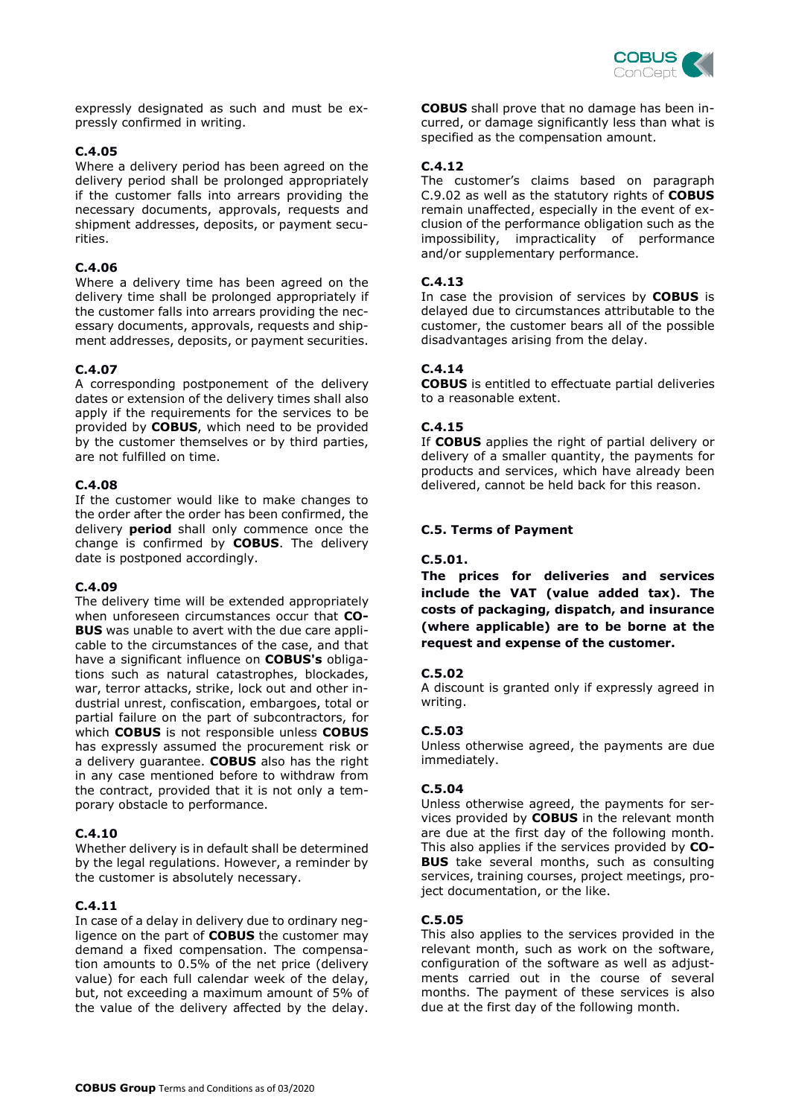

expressly designated as such and must be expressly confirmed in writing.

#### **C.4.05**

Where a delivery period has been agreed on the delivery period shall be prolonged appropriately if the customer falls into arrears providing the necessary documents, approvals, requests and shipment addresses, deposits, or payment securities.

#### **C.4.06**

Where a delivery time has been agreed on the delivery time shall be prolonged appropriately if the customer falls into arrears providing the necessary documents, approvals, requests and shipment addresses, deposits, or payment securities.

#### **C.4.07**

A corresponding postponement of the delivery dates or extension of the delivery times shall also apply if the requirements for the services to be provided by **COBUS**, which need to be provided by the customer themselves or by third parties, are not fulfilled on time.

## **C.4.08**

If the customer would like to make changes to the order after the order has been confirmed, the delivery **period** shall only commence once the change is confirmed by **COBUS**. The delivery date is postponed accordingly.

#### **C.4.09**

The delivery time will be extended appropriately when unforeseen circumstances occur that **CO-BUS** was unable to avert with the due care applicable to the circumstances of the case, and that have a significant influence on **COBUS's** obligations such as natural catastrophes, blockades, war, terror attacks, strike, lock out and other industrial unrest, confiscation, embargoes, total or partial failure on the part of subcontractors, for which **COBUS** is not responsible unless **COBUS** has expressly assumed the procurement risk or a delivery guarantee. **COBUS** also has the right in any case mentioned before to withdraw from the contract, provided that it is not only a temporary obstacle to performance.

#### **C.4.10**

Whether delivery is in default shall be determined by the legal regulations. However, a reminder by the customer is absolutely necessary.

#### **C.4.11**

In case of a delay in delivery due to ordinary negligence on the part of **COBUS** the customer may demand a fixed compensation. The compensation amounts to 0.5% of the net price (delivery value) for each full calendar week of the delay, but, not exceeding a maximum amount of 5% of the value of the delivery affected by the delay. **COBUS** shall prove that no damage has been incurred, or damage significantly less than what is specified as the compensation amount.

#### **C.4.12**

The customer's claims based on paragraph C.9.02 as well as the statutory rights of **COBUS** remain unaffected, especially in the event of exclusion of the performance obligation such as the impossibility, impracticality of performance and/or supplementary performance.

#### **C.4.13**

In case the provision of services by **COBUS** is delayed due to circumstances attributable to the customer, the customer bears all of the possible disadvantages arising from the delay.

## **C.4.14**

**COBUS** is entitled to effectuate partial deliveries to a reasonable extent.

## **C.4.15**

If **COBUS** applies the right of partial delivery or delivery of a smaller quantity, the payments for products and services, which have already been delivered, cannot be held back for this reason.

#### **C.5. Terms of Payment**

#### **C.5.01.**

**The prices for deliveries and services include the VAT (value added tax). The costs of packaging, dispatch, and insurance (where applicable) are to be borne at the request and expense of the customer.** 

#### **C.5.02**

A discount is granted only if expressly agreed in writing.

#### **C.5.03**

Unless otherwise agreed, the payments are due immediately.

#### **C.5.04**

Unless otherwise agreed, the payments for services provided by **COBUS** in the relevant month are due at the first day of the following month. This also applies if the services provided by **CO-BUS** take several months, such as consulting services, training courses, project meetings, project documentation, or the like.

## **C.5.05**

This also applies to the services provided in the relevant month, such as work on the software, configuration of the software as well as adjustments carried out in the course of several months. The payment of these services is also due at the first day of the following month.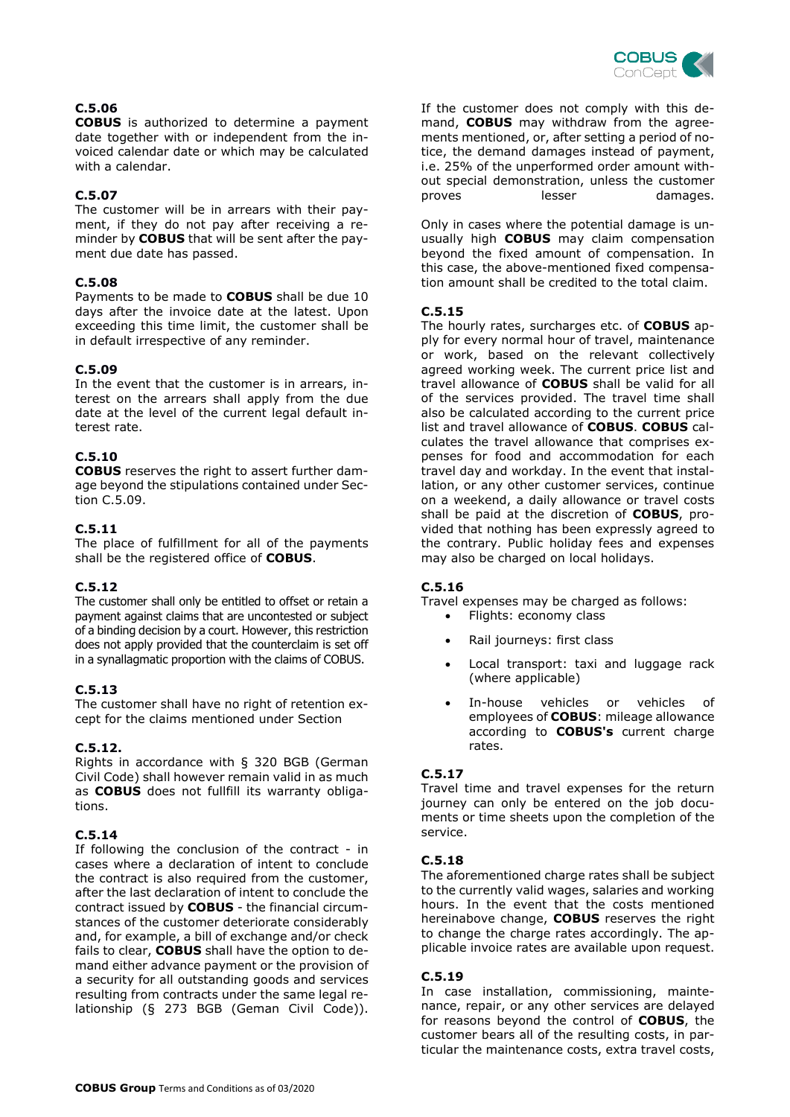

## **C.5.06**

**COBUS** is authorized to determine a payment date together with or independent from the invoiced calendar date or which may be calculated with a calendar.

## **C.5.07**

The customer will be in arrears with their payment, if they do not pay after receiving a reminder by **COBUS** that will be sent after the payment due date has passed.

#### **C.5.08**

Payments to be made to **COBUS** shall be due 10 days after the invoice date at the latest. Upon exceeding this time limit, the customer shall be in default irrespective of any reminder.

#### **C.5.09**

In the event that the customer is in arrears, interest on the arrears shall apply from the due date at the level of the current legal default interest rate.

## **C.5.10**

**COBUS** reserves the right to assert further damage beyond the stipulations contained under Section C.5.09.

#### **C.5.11**

The place of fulfillment for all of the payments shall be the registered office of **COBUS**.

#### **C.5.12**

The customer shall only be entitled to offset or retain a payment against claims that are uncontested or subject of a binding decision by a court. However, this restriction does not apply provided that the counterclaim is set off in a synallagmatic proportion with the claims of COBUS.

## **C.5.13**

The customer shall have no right of retention except for the claims mentioned under Section

#### **C.5.12.**

Rights in accordance with § 320 BGB (German Civil Code) shall however remain valid in as much as **COBUS** does not fullfill its warranty obligations.

#### **C.5.14**

If following the conclusion of the contract - in cases where a declaration of intent to conclude the contract is also required from the customer, after the last declaration of intent to conclude the contract issued by **COBUS** - the financial circumstances of the customer deteriorate considerably and, for example, a bill of exchange and/or check fails to clear, **COBUS** shall have the option to demand either advance payment or the provision of a security for all outstanding goods and services resulting from contracts under the same legal relationship (§ 273 BGB (Geman Civil Code)).

If the customer does not comply with this demand, **COBUS** may withdraw from the agreements mentioned, or, after setting a period of notice, the demand damages instead of payment, i.e. 25% of the unperformed order amount without special demonstration, unless the customer proves lesser damages.

Only in cases where the potential damage is unusually high **COBUS** may claim compensation beyond the fixed amount of compensation. In this case, the above-mentioned fixed compensation amount shall be credited to the total claim.

## **C.5.15**

The hourly rates, surcharges etc. of **COBUS** apply for every normal hour of travel, maintenance or work, based on the relevant collectively agreed working week. The current price list and travel allowance of **COBUS** shall be valid for all of the services provided. The travel time shall also be calculated according to the current price list and travel allowance of **COBUS**. **COBUS** calculates the travel allowance that comprises expenses for food and accommodation for each travel day and workday. In the event that installation, or any other customer services, continue on a weekend, a daily allowance or travel costs shall be paid at the discretion of **COBUS**, provided that nothing has been expressly agreed to the contrary. Public holiday fees and expenses may also be charged on local holidays.

#### **C.5.16**

Travel expenses may be charged as follows:

- Flights: economy class
- Rail journeys: first class
- Local transport: taxi and luggage rack (where applicable)
- In-house vehicles or vehicles of employees of **COBUS**: mileage allowance according to **COBUS's** current charge rates.

#### **C.5.17**

Travel time and travel expenses for the return journey can only be entered on the job documents or time sheets upon the completion of the service.

#### **C.5.18**

The aforementioned charge rates shall be subject to the currently valid wages, salaries and working hours. In the event that the costs mentioned hereinabove change, **COBUS** reserves the right to change the charge rates accordingly. The applicable invoice rates are available upon request.

## **C.5.19**

In case installation, commissioning, maintenance, repair, or any other services are delayed for reasons beyond the control of **COBUS**, the customer bears all of the resulting costs, in particular the maintenance costs, extra travel costs,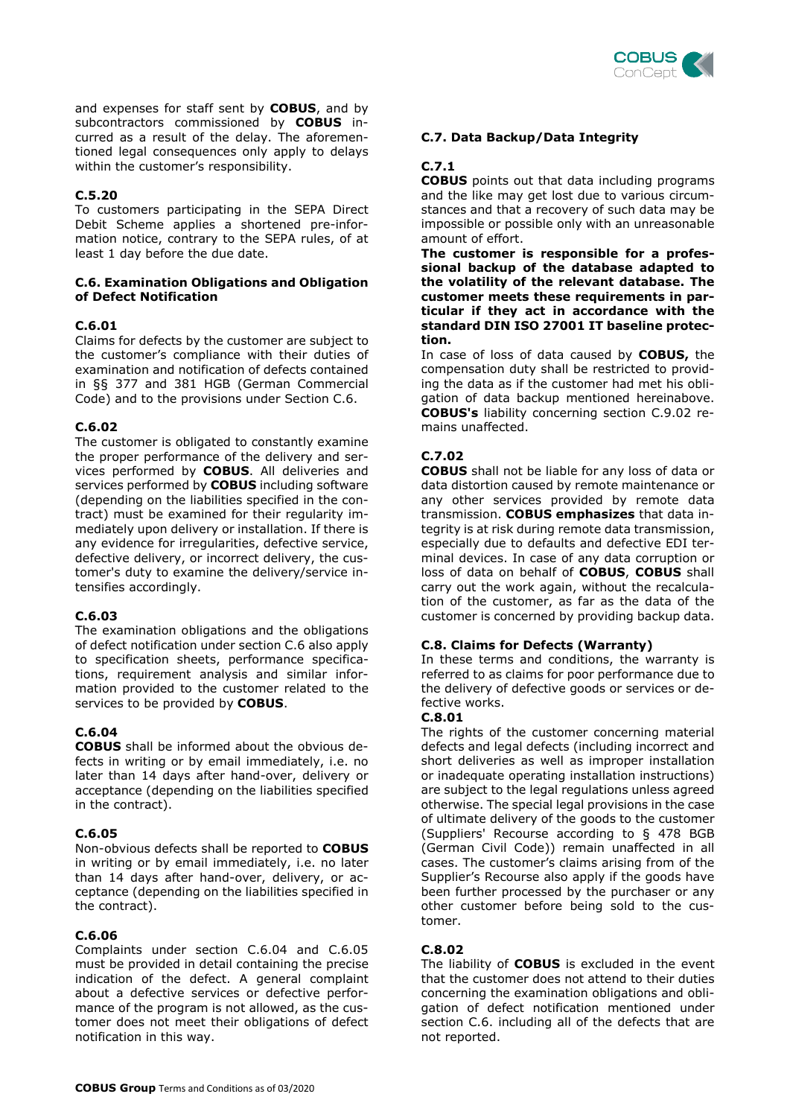

and expenses for staff sent by **COBUS**, and by subcontractors commissioned by **COBUS** incurred as a result of the delay. The aforementioned legal consequences only apply to delays within the customer's responsibility.

## **C.5.20**

To customers participating in the SEPA Direct Debit Scheme applies a shortened pre-information notice, contrary to the SEPA rules, of at least 1 day before the due date.

#### **C.6. Examination Obligations and Obligation of Defect Notification**

#### **C.6.01**

Claims for defects by the customer are subject to the customer's compliance with their duties of examination and notification of defects contained in §§ 377 and 381 HGB (German Commercial Code) and to the provisions under Section C.6.

## **C.6.02**

The customer is obligated to constantly examine the proper performance of the delivery and services performed by **COBUS**. All deliveries and services performed by **COBUS** including software (depending on the liabilities specified in the contract) must be examined for their regularity immediately upon delivery or installation. If there is any evidence for irregularities, defective service, defective delivery, or incorrect delivery, the customer's duty to examine the delivery/service intensifies accordingly.

#### **C.6.03**

The examination obligations and the obligations of defect notification under section C.6 also apply to specification sheets, performance specifications, requirement analysis and similar information provided to the customer related to the services to be provided by **COBUS**.

## **C.6.04**

**COBUS** shall be informed about the obvious defects in writing or by email immediately, i.e. no later than 14 days after hand-over, delivery or acceptance (depending on the liabilities specified in the contract).

#### **C.6.05**

Non-obvious defects shall be reported to **COBUS** in writing or by email immediately, i.e. no later than 14 days after hand-over, delivery, or acceptance (depending on the liabilities specified in the contract).

#### **C.6.06**

Complaints under section C.6.04 and C.6.05 must be provided in detail containing the precise indication of the defect. A general complaint about a defective services or defective performance of the program is not allowed, as the customer does not meet their obligations of defect notification in this way.

## **C.7. Data Backup/Data Integrity**

## **C.7.1**

**COBUS** points out that data including programs and the like may get lost due to various circumstances and that a recovery of such data may be impossible or possible only with an unreasonable amount of effort.

**The customer is responsible for a professional backup of the database adapted to the volatility of the relevant database. The customer meets these requirements in particular if they act in accordance with the standard DIN ISO 27001 IT baseline protection.** 

In case of loss of data caused by **COBUS,** the compensation duty shall be restricted to providing the data as if the customer had met his obligation of data backup mentioned hereinabove. **COBUS's** liability concerning section C.9.02 remains unaffected.

## **C.7.02**

**COBUS** shall not be liable for any loss of data or data distortion caused by remote maintenance or any other services provided by remote data transmission. **COBUS emphasizes** that data integrity is at risk during remote data transmission, especially due to defaults and defective EDI terminal devices. In case of any data corruption or loss of data on behalf of **COBUS**, **COBUS** shall carry out the work again, without the recalculation of the customer, as far as the data of the customer is concerned by providing backup data.

#### **C.8. Claims for Defects (Warranty)**

In these terms and conditions, the warranty is referred to as claims for poor performance due to the delivery of defective goods or services or defective works.

#### **C.8.01**

The rights of the customer concerning material defects and legal defects (including incorrect and short deliveries as well as improper installation or inadequate operating installation instructions) are subject to the legal regulations unless agreed otherwise. The special legal provisions in the case of ultimate delivery of the goods to the customer (Suppliers' Recourse according to § 478 BGB (German Civil Code)) remain unaffected in all cases. The customer's claims arising from of the Supplier's Recourse also apply if the goods have been further processed by the purchaser or any other customer before being sold to the customer.

#### **C.8.02**

The liability of **COBUS** is excluded in the event that the customer does not attend to their duties concerning the examination obligations and obligation of defect notification mentioned under section C.6. including all of the defects that are not reported.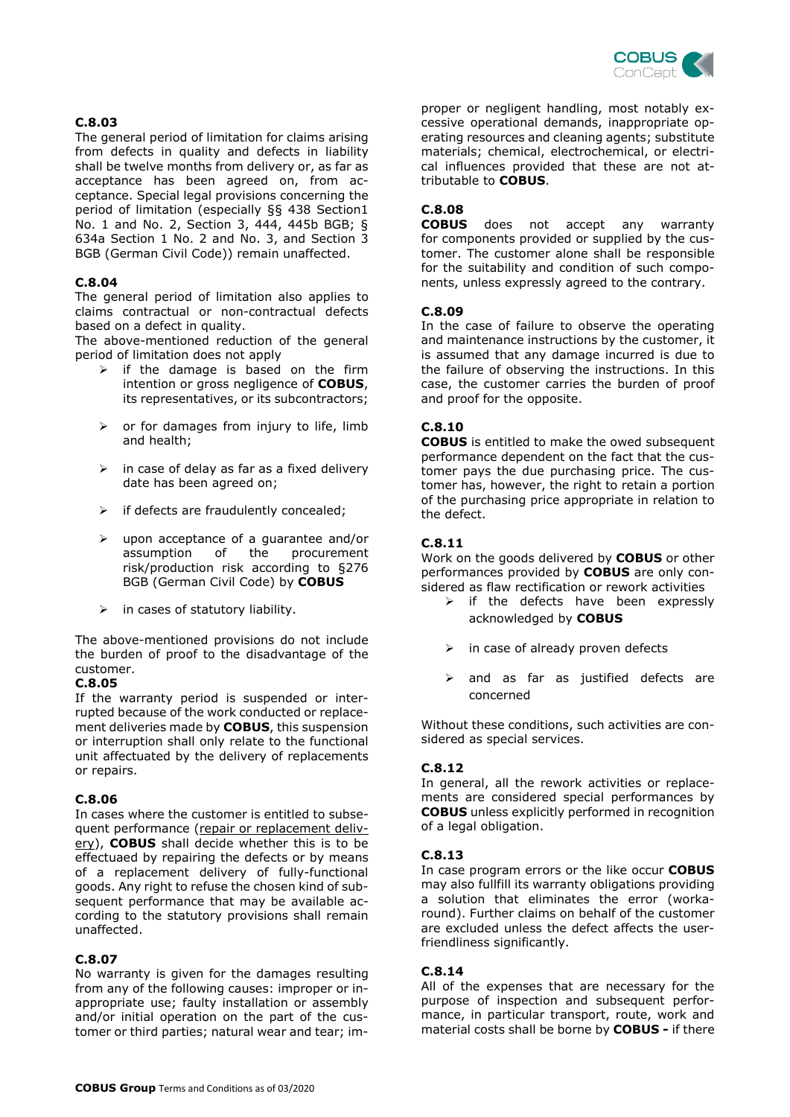

## **C.8.03**

The general period of limitation for claims arising from defects in quality and defects in liability shall be twelve months from delivery or, as far as acceptance has been agreed on, from acceptance. Special legal provisions concerning the period of limitation (especially §§ 438 Section1 No. 1 and No. 2, Section 3, 444, 445b BGB; § 634a Section 1 No. 2 and No. 3, and Section 3 BGB (German Civil Code)) remain unaffected.

#### **C.8.04**

The general period of limitation also applies to claims contractual or non-contractual defects based on a defect in quality.

The above-mentioned reduction of the general period of limitation does not apply

- $\triangleright$  if the damage is based on the firm intention or gross negligence of **COBUS**, its representatives, or its subcontractors;
- $\triangleright$  or for damages from injury to life, limb and health;
- $\triangleright$  in case of delay as far as a fixed delivery date has been agreed on;
- $\triangleright$  if defects are fraudulently concealed;
- upon acceptance of a guarantee and/or assumption of the procurement risk/production risk according to §276 BGB (German Civil Code) by **COBUS**
- in cases of statutory liability.

The above-mentioned provisions do not include the burden of proof to the disadvantage of the customer.

#### **C.8.05**

If the warranty period is suspended or interrupted because of the work conducted or replacement deliveries made by **COBUS**, this suspension or interruption shall only relate to the functional unit affectuated by the delivery of replacements or repairs.

#### **C.8.06**

In cases where the customer is entitled to subsequent performance (repair or replacement delivery), **COBUS** shall decide whether this is to be effectuaed by repairing the defects or by means of a replacement delivery of fully-functional goods. Any right to refuse the chosen kind of subsequent performance that may be available according to the statutory provisions shall remain unaffected.

#### **C.8.07**

No warranty is given for the damages resulting from any of the following causes: improper or inappropriate use; faulty installation or assembly and/or initial operation on the part of the customer or third parties; natural wear and tear; improper or negligent handling, most notably excessive operational demands, inappropriate operating resources and cleaning agents; substitute materials; chemical, electrochemical, or electrical influences provided that these are not attributable to **COBUS**.

## **C.8.08**

does not accept any warranty for components provided or supplied by the customer. The customer alone shall be responsible for the suitability and condition of such components, unless expressly agreed to the contrary.

#### **C.8.09**

In the case of failure to observe the operating and maintenance instructions by the customer, it is assumed that any damage incurred is due to the failure of observing the instructions. In this case, the customer carries the burden of proof and proof for the opposite.

#### **C.8.10**

**COBUS** is entitled to make the owed subsequent performance dependent on the fact that the customer pays the due purchasing price. The customer has, however, the right to retain a portion of the purchasing price appropriate in relation to the defect.

#### **C.8.11**

Work on the goods delivered by **COBUS** or other performances provided by **COBUS** are only considered as flaw rectification or rework activities

- $\triangleright$  if the defects have been expressly acknowledged by **COBUS**
- $\triangleright$  in case of already proven defects
- $\triangleright$  and as far as justified defects are concerned

Without these conditions, such activities are considered as special services.

#### **C.8.12**

In general, all the rework activities or replacements are considered special performances by **COBUS** unless explicitly performed in recognition of a legal obligation.

#### **C.8.13**

In case program errors or the like occur **COBUS** may also fullfill its warranty obligations providing a solution that eliminates the error (workaround). Further claims on behalf of the customer are excluded unless the defect affects the userfriendliness significantly.

#### **C.8.14**

All of the expenses that are necessary for the purpose of inspection and subsequent performance, in particular transport, route, work and material costs shall be borne by **COBUS -** if there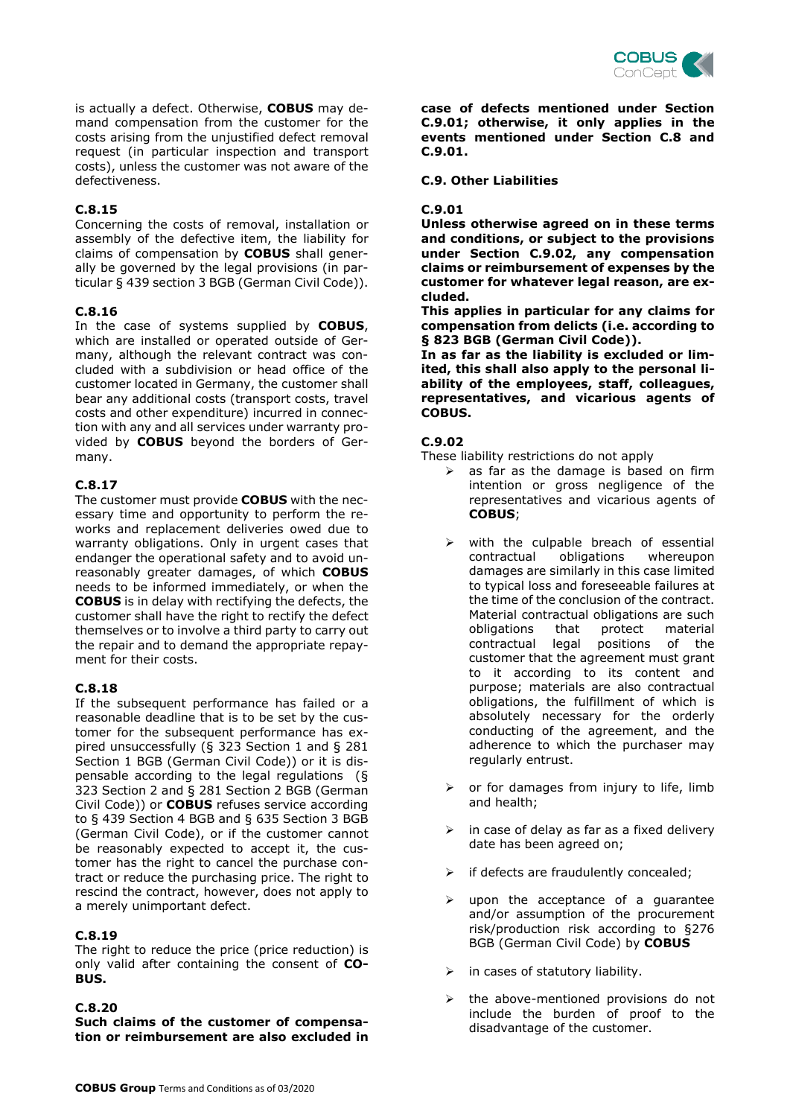

is actually a defect. Otherwise, **COBUS** may demand compensation from the customer for the costs arising from the unjustified defect removal request (in particular inspection and transport costs), unless the customer was not aware of the defectiveness.

#### **C.8.15**

Concerning the costs of removal, installation or assembly of the defective item, the liability for claims of compensation by **COBUS** shall generally be governed by the legal provisions (in particular § 439 section 3 BGB (German Civil Code)).

## **C.8.16**

In the case of systems supplied by **COBUS**, which are installed or operated outside of Germany, although the relevant contract was concluded with a subdivision or head office of the customer located in Germany, the customer shall bear any additional costs (transport costs, travel costs and other expenditure) incurred in connection with any and all services under warranty provided by **COBUS** beyond the borders of Germany.

#### **C.8.17**

The customer must provide **COBUS** with the necessary time and opportunity to perform the reworks and replacement deliveries owed due to warranty obligations. Only in urgent cases that endanger the operational safety and to avoid unreasonably greater damages, of which **COBUS** needs to be informed immediately, or when the **COBUS** is in delay with rectifying the defects, the customer shall have the right to rectify the defect themselves or to involve a third party to carry out the repair and to demand the appropriate repayment for their costs.

## **C.8.18**

If the subsequent performance has failed or a reasonable deadline that is to be set by the customer for the subsequent performance has expired unsuccessfully (§ 323 Section 1 and § 281 Section 1 BGB (German Civil Code)) or it is dispensable according to the legal regulations (§ 323 Section 2 and § 281 Section 2 BGB (German Civil Code)) or **COBUS** refuses service according to § 439 Section 4 BGB and § 635 Section 3 BGB (German Civil Code), or if the customer cannot be reasonably expected to accept it, the customer has the right to cancel the purchase contract or reduce the purchasing price. The right to rescind the contract, however, does not apply to a merely unimportant defect.

#### **C.8.19**

The right to reduce the price (price reduction) is only valid after containing the consent of **CO-BUS.**

#### **C.8.20**

**Such claims of the customer of compensation or reimbursement are also excluded in**  **case of defects mentioned under Section C.9.01; otherwise, it only applies in the events mentioned under Section C.8 and C.9.01.**

#### **C.9. Other Liabilities**

#### **C.9.01**

**Unless otherwise agreed on in these terms and conditions, or subject to the provisions under Section C.9.02, any compensation claims or reimbursement of expenses by the customer for whatever legal reason, are excluded.**

**This applies in particular for any claims for compensation from delicts (i.e. according to § 823 BGB (German Civil Code)).**

**In as far as the liability is excluded or limited, this shall also apply to the personal liability of the employees, staff, colleagues, representatives, and vicarious agents of COBUS.** 

#### **C.9.02**

These liability restrictions do not apply

- $\triangleright$  as far as the damage is based on firm intention or gross negligence of the representatives and vicarious agents of **COBUS**;
- $\triangleright$  with the culpable breach of essential contractual obligations whereupon damages are similarly in this case limited to typical loss and foreseeable failures at the time of the conclusion of the contract. Material contractual obligations are such obligations that protect material contractual legal positions of the customer that the agreement must grant to it according to its content and purpose; materials are also contractual obligations, the fulfillment of which is absolutely necessary for the orderly conducting of the agreement, and the adherence to which the purchaser may regularly entrust.
- $\triangleright$  or for damages from injury to life, limb and health;
- $\triangleright$  in case of delay as far as a fixed delivery date has been agreed on;
- $\triangleright$  if defects are fraudulently concealed;
- upon the acceptance of a guarantee and/or assumption of the procurement risk/production risk according to §276 BGB (German Civil Code) by **COBUS**
- $\triangleright$  in cases of statutory liability.
- $\triangleright$  the above-mentioned provisions do not include the burden of proof to the disadvantage of the customer.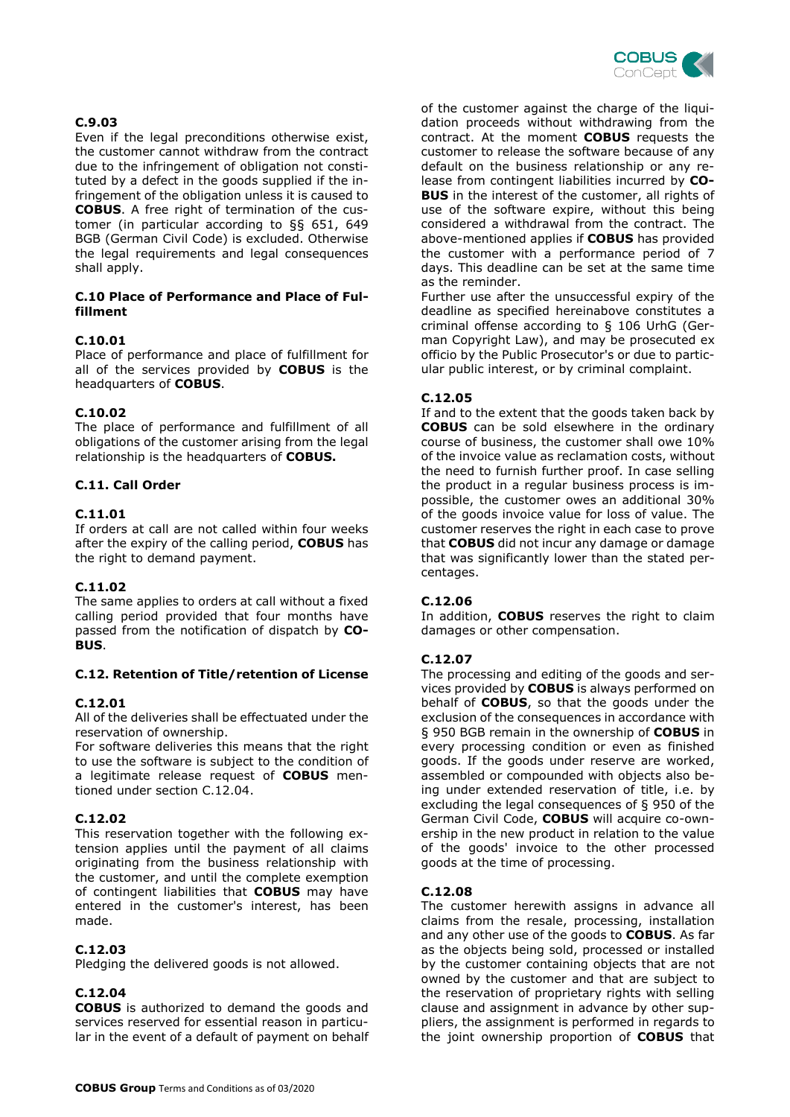

## **C.9.03**

Even if the legal preconditions otherwise exist, the customer cannot withdraw from the contract due to the infringement of obligation not constituted by a defect in the goods supplied if the infringement of the obligation unless it is caused to **COBUS**. A free right of termination of the customer (in particular according to §§ 651, 649 BGB (German Civil Code) is excluded. Otherwise the legal requirements and legal consequences shall apply.

#### **C.10 Place of Performance and Place of Fulfillment**

## **C.10.01**

Place of performance and place of fulfillment for all of the services provided by **COBUS** is the headquarters of **COBUS**.

#### **C.10.02**

The place of performance and fulfillment of all obligations of the customer arising from the legal relationship is the headquarters of **COBUS.**

## **C.11. Call Order**

## **C.11.01**

If orders at call are not called within four weeks after the expiry of the calling period, **COBUS** has the right to demand payment.

#### **C.11.02**

The same applies to orders at call without a fixed calling period provided that four months have passed from the notification of dispatch by **CO-BUS**.

#### **C.12. Retention of Title/retention of License**

#### **C.12.01**

All of the deliveries shall be effectuated under the reservation of ownership.

For software deliveries this means that the right to use the software is subject to the condition of a legitimate release request of **COBUS** mentioned under section C.12.04.

#### **C.12.02**

This reservation together with the following extension applies until the payment of all claims originating from the business relationship with the customer, and until the complete exemption of contingent liabilities that **COBUS** may have entered in the customer's interest, has been made.

#### **C.12.03**

Pledging the delivered goods is not allowed.

#### **C.12.04**

**COBUS** is authorized to demand the goods and services reserved for essential reason in particular in the event of a default of payment on behalf of the customer against the charge of the liquidation proceeds without withdrawing from the contract. At the moment **COBUS** requests the customer to release the software because of any default on the business relationship or any release from contingent liabilities incurred by **CO-BUS** in the interest of the customer, all rights of use of the software expire, without this being considered a withdrawal from the contract. The above-mentioned applies if **COBUS** has provided the customer with a performance period of 7 days. This deadline can be set at the same time as the reminder.

Further use after the unsuccessful expiry of the deadline as specified hereinabove constitutes a criminal offense according to § 106 UrhG (German Copyright Law), and may be prosecuted ex officio by the Public Prosecutor's or due to particular public interest, or by criminal complaint.

## **C.12.05**

If and to the extent that the goods taken back by **COBUS** can be sold elsewhere in the ordinary course of business, the customer shall owe 10% of the invoice value as reclamation costs, without the need to furnish further proof. In case selling the product in a regular business process is impossible, the customer owes an additional 30% of the goods invoice value for loss of value. The customer reserves the right in each case to prove that **COBUS** did not incur any damage or damage that was significantly lower than the stated percentages.

#### **C.12.06**

In addition, **COBUS** reserves the right to claim damages or other compensation.

#### **C.12.07**

The processing and editing of the goods and services provided by **COBUS** is always performed on behalf of **COBUS**, so that the goods under the exclusion of the consequences in accordance with § 950 BGB remain in the ownership of **COBUS** in every processing condition or even as finished goods. If the goods under reserve are worked, assembled or compounded with objects also being under extended reservation of title, i.e. by excluding the legal consequences of § 950 of the German Civil Code, **COBUS** will acquire co-ownership in the new product in relation to the value of the goods' invoice to the other processed goods at the time of processing.

#### **C.12.08**

The customer herewith assigns in advance all claims from the resale, processing, installation and any other use of the goods to **COBUS**. As far as the objects being sold, processed or installed by the customer containing objects that are not owned by the customer and that are subject to the reservation of proprietary rights with selling clause and assignment in advance by other suppliers, the assignment is performed in regards to the joint ownership proportion of **COBUS** that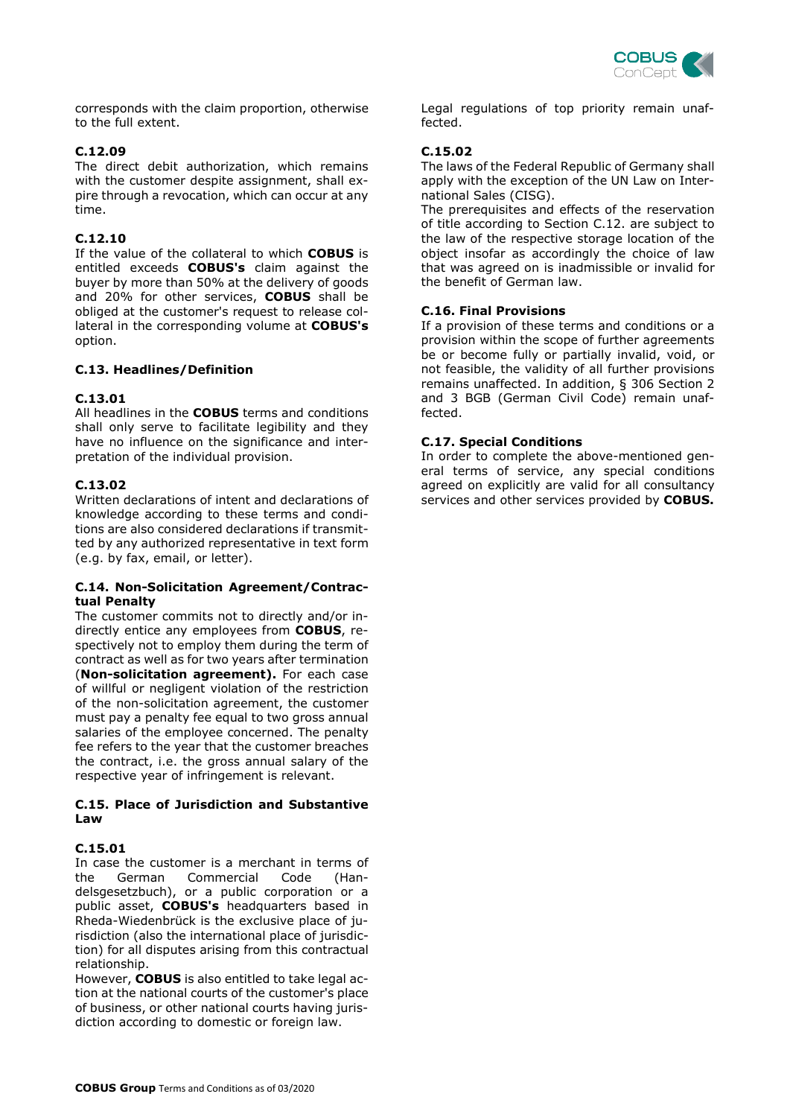

corresponds with the claim proportion, otherwise to the full extent.

#### **C.12.09**

The direct debit authorization, which remains with the customer despite assignment, shall expire through a revocation, which can occur at any time.

## **C.12.10**

If the value of the collateral to which **COBUS** is entitled exceeds **COBUS's** claim against the buyer by more than 50% at the delivery of goods and 20% for other services, **COBUS** shall be obliged at the customer's request to release collateral in the corresponding volume at **COBUS's** option.

#### **C.13. Headlines/Definition**

## **C.13.01**

All headlines in the **COBUS** terms and conditions shall only serve to facilitate legibility and they have no influence on the significance and interpretation of the individual provision.

## **C.13.02**

Written declarations of intent and declarations of knowledge according to these terms and conditions are also considered declarations if transmitted by any authorized representative in text form (e.g. by fax, email, or letter).

#### **C.14. Non-Solicitation Agreement/Contractual Penalty**

The customer commits not to directly and/or indirectly entice any employees from **COBUS**, respectively not to employ them during the term of contract as well as for two years after termination (**Non-solicitation agreement).** For each case of willful or negligent violation of the restriction of the non-solicitation agreement, the customer must pay a penalty fee equal to two gross annual salaries of the employee concerned. The penalty fee refers to the year that the customer breaches the contract, i.e. the gross annual salary of the respective year of infringement is relevant.

#### **C.15. Place of Jurisdiction and Substantive Law**

#### **C.15.01**

In case the customer is a merchant in terms of the German Commercial Code (Handelsgesetzbuch), or a public corporation or a public asset, **COBUS's** headquarters based in Rheda-Wiedenbrück is the exclusive place of jurisdiction (also the international place of jurisdiction) for all disputes arising from this contractual relationship.

However, **COBUS** is also entitled to take legal action at the national courts of the customer's place of business, or other national courts having jurisdiction according to domestic or foreign law.

Legal regulations of top priority remain unaffected.

## **C.15.02**

The laws of the Federal Republic of Germany shall apply with the exception of the UN Law on International Sales (CISG).

The prerequisites and effects of the reservation of title according to Section C.12. are subject to the law of the respective storage location of the object insofar as accordingly the choice of law that was agreed on is inadmissible or invalid for the benefit of German law.

#### **C.16. Final Provisions**

If a provision of these terms and conditions or a provision within the scope of further agreements be or become fully or partially invalid, void, or not feasible, the validity of all further provisions remains unaffected. In addition, § 306 Section 2 and 3 BGB (German Civil Code) remain unaffected.

#### **C.17. Special Conditions**

In order to complete the above-mentioned general terms of service, any special conditions agreed on explicitly are valid for all consultancy services and other services provided by **COBUS.**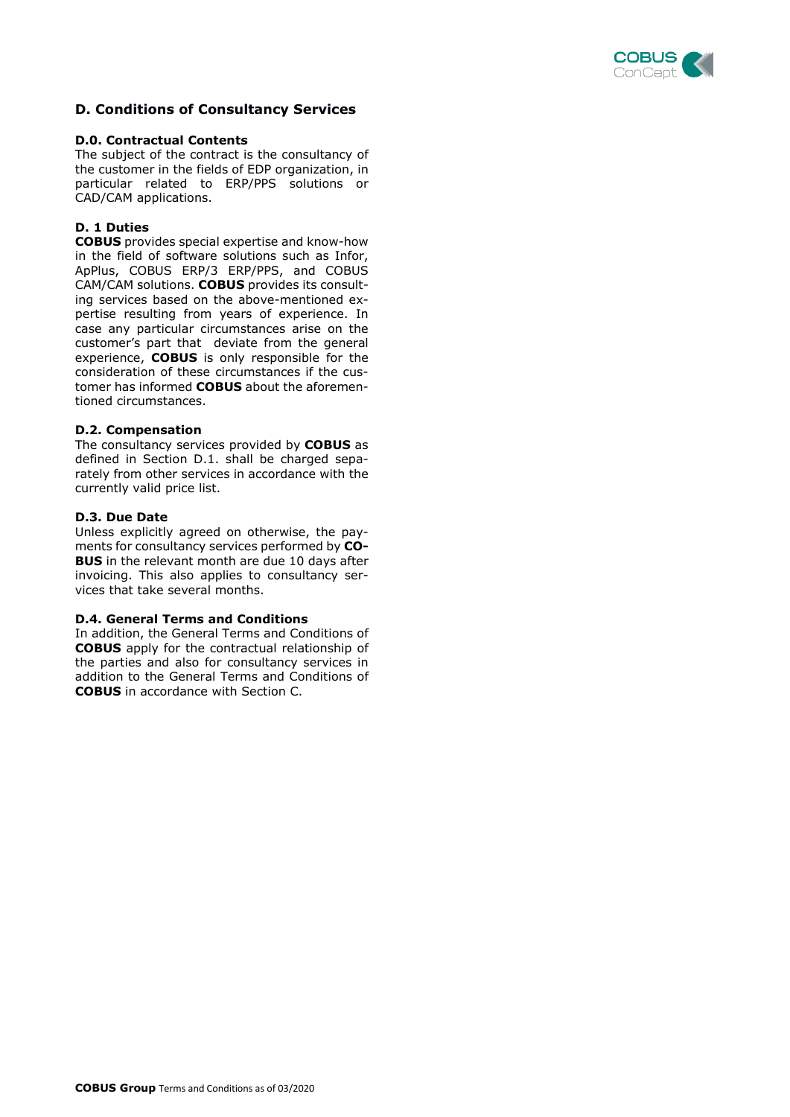

## **D. Conditions of Consultancy Services**

#### **D.0. Contractual Contents**

The subject of the contract is the consultancy of the customer in the fields of EDP organization, in particular related to ERP/PPS solutions or CAD/CAM applications.

#### **D. 1 Duties**

**COBUS** provides special expertise and know-how in the field of software solutions such as Infor, ApPlus, COBUS ERP/3 ERP/PPS, and COBUS CAM/CAM solutions. **COBUS** provides its consulting services based on the above-mentioned expertise resulting from years of experience. In case any particular circumstances arise on the customer's part that deviate from the general experience, **COBUS** is only responsible for the consideration of these circumstances if the customer has informed **COBUS** about the aforementioned circumstances.

#### **D.2. Compensation**

The consultancy services provided by **COBUS** as defined in Section D.1. shall be charged separately from other services in accordance with the currently valid price list.

#### **D.3. Due Date**

Unless explicitly agreed on otherwise, the payments for consultancy services performed by **CO-BUS** in the relevant month are due 10 days after invoicing. This also applies to consultancy services that take several months.

#### **D.4. General Terms and Conditions**

In addition, the General Terms and Conditions of **COBUS** apply for the contractual relationship of the parties and also for consultancy services in addition to the General Terms and Conditions of **COBUS** in accordance with Section C.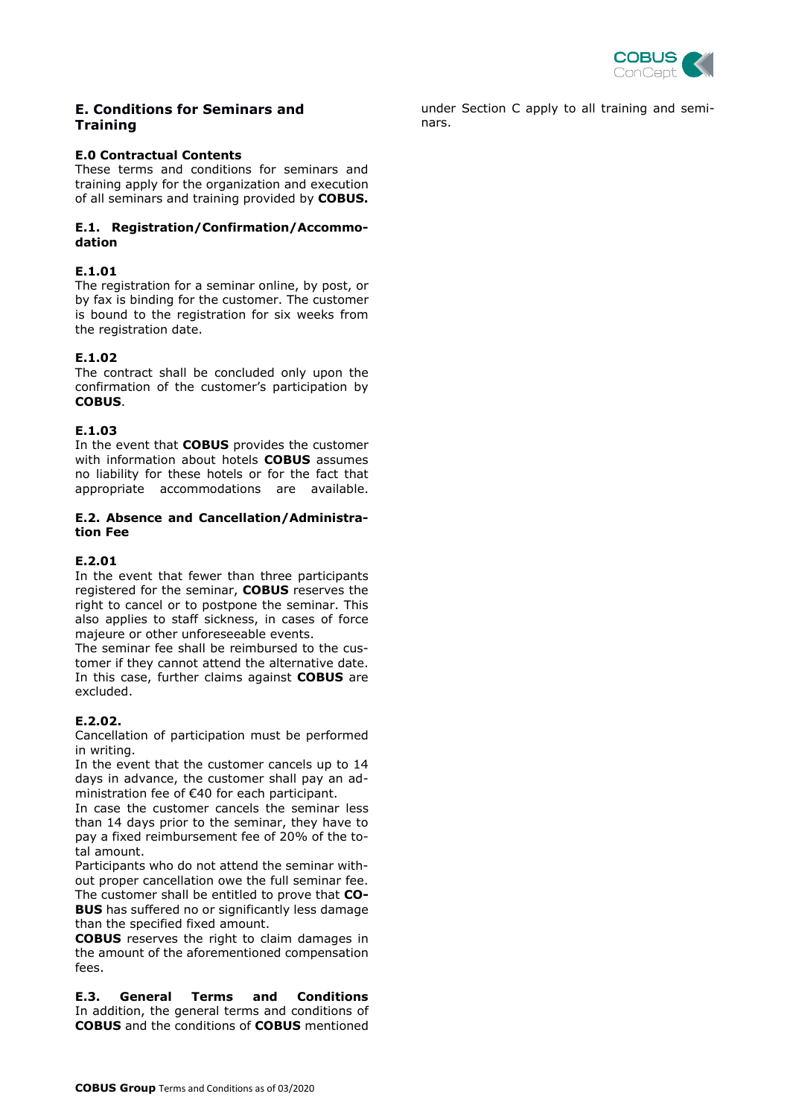

## **E. Conditions for Seminars and Training**

#### **E.0 Contractual Contents**

These terms and conditions for seminars and training apply for the organization and execution of all seminars and training provided by **COBUS.**

#### **E.1. Registration/Confirmation/Accommodation**

#### **E.1.01**

The registration for a seminar online, by post, or by fax is binding for the customer. The customer is bound to the registration for six weeks from the registration date.

## **E.1.02**

The contract shall be concluded only upon the confirmation of the customer's participation by **COBUS**.

## **E.1.03**

In the event that **COBUS** provides the customer with information about hotels **COBUS** assumes no liability for these hotels or for the fact that appropriate accommodations are available.

#### **E.2. Absence and Cancellation/Administration Fee**

#### **E.2.01**

In the event that fewer than three participants registered for the seminar, **COBUS** reserves the right to cancel or to postpone the seminar. This also applies to staff sickness, in cases of force majeure or other unforeseeable events.

The seminar fee shall be reimbursed to the customer if they cannot attend the alternative date. In this case, further claims against **COBUS** are excluded.

#### **E.2.02.**

Cancellation of participation must be performed in writing.

In the event that the customer cancels up to 14 days in advance, the customer shall pay an administration fee of €40 for each participant.

In case the customer cancels the seminar less than 14 days prior to the seminar, they have to pay a fixed reimbursement fee of 20% of the total amount.

Participants who do not attend the seminar without proper cancellation owe the full seminar fee. The customer shall be entitled to prove that **CO-BUS** has suffered no or significantly less damage than the specified fixed amount.

**COBUS** reserves the right to claim damages in the amount of the aforementioned compensation fees.

**E.3. General Terms and Conditions** In addition, the general terms and conditions of **COBUS** and the conditions of **COBUS** mentioned

under Section C apply to all training and seminars.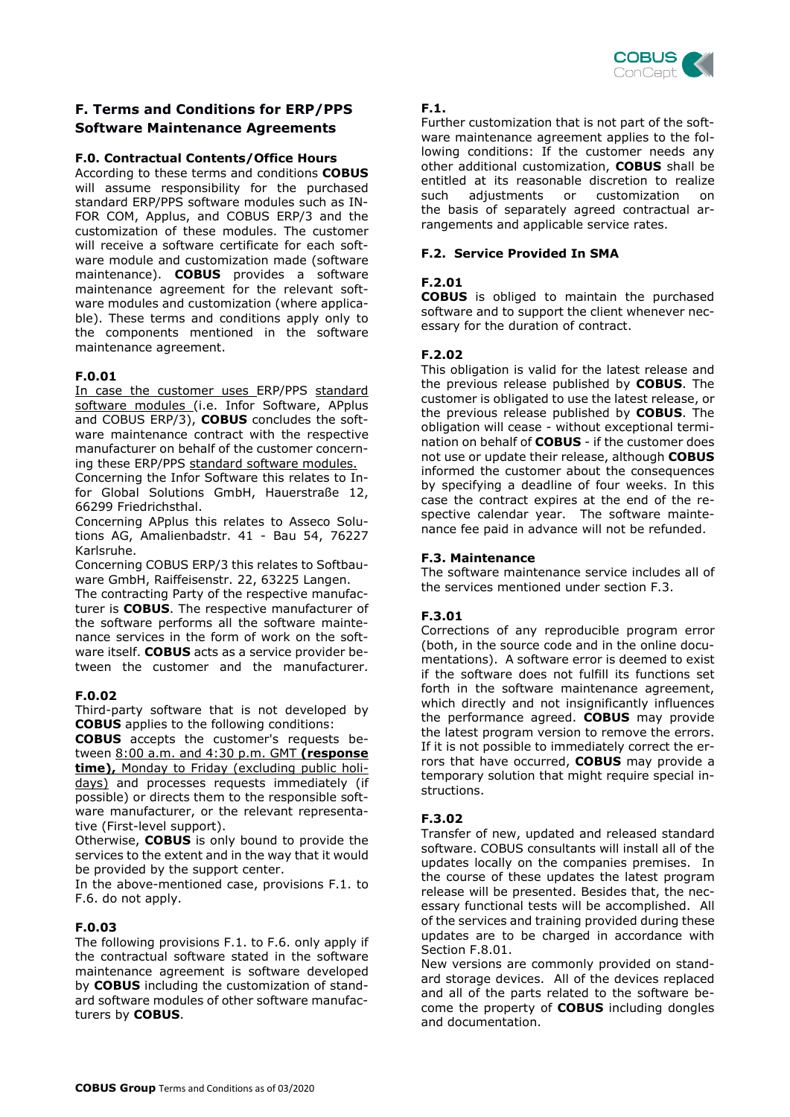

## **F. Terms and Conditions for ERP/PPS Software Maintenance Agreements**

#### **F.0. Contractual Contents/Office Hours**

According to these terms and conditions **COBUS** will assume responsibility for the purchased standard ERP/PPS software modules such as IN-FOR COM, Applus, and COBUS ERP/3 and the customization of these modules. The customer will receive a software certificate for each software module and customization made (software maintenance). **COBUS** provides a software maintenance agreement for the relevant software modules and customization (where applicable). These terms and conditions apply only to the components mentioned in the software maintenance agreement.

#### **F.0.01**

In case the customer uses ERP/PPS standard software modules (i.e. Infor Software, APplus and COBUS ERP/3), **COBUS** concludes the software maintenance contract with the respective manufacturer on behalf of the customer concerning these ERP/PPS standard software modules.

Concerning the Infor Software this relates to Infor Global Solutions GmbH, Hauerstraße 12, 66299 Friedrichsthal.

Concerning APplus this relates to Asseco Solutions AG, Amalienbadstr. 41 - Bau 54, 76227 Karlsruhe.

Concerning COBUS ERP/3 this relates to Softbauware GmbH, Raiffeisenstr. 22, 63225 Langen.

The contracting Party of the respective manufacturer is **COBUS**. The respective manufacturer of the software performs all the software maintenance services in the form of work on the software itself. **COBUS** acts as a service provider between the customer and the manufacturer.

#### **F.0.02**

Third-party software that is not developed by **COBUS** applies to the following conditions:

**COBUS** accepts the customer's requests between 8:00 a.m. and 4:30 p.m. GMT **(response time),** Monday to Friday (excluding public holidays) and processes requests immediately (if possible) or directs them to the responsible software manufacturer, or the relevant representative (First-level support).

Otherwise, **COBUS** is only bound to provide the services to the extent and in the way that it would be provided by the support center.

In the above-mentioned case, provisions F.1. to F.6. do not apply.

#### **F.0.03**

The following provisions F.1. to F.6. only apply if the contractual software stated in the software maintenance agreement is software developed by **COBUS** including the customization of standard software modules of other software manufacturers by **COBUS**.

#### **F.1.**

Further customization that is not part of the software maintenance agreement applies to the following conditions: If the customer needs any other additional customization, **COBUS** shall be entitled at its reasonable discretion to realize<br>such adjustments or customization on such adjustments or customization on the basis of separately agreed contractual arrangements and applicable service rates.

#### **F.2. Service Provided In SMA**

#### **F.2.01**

**COBUS** is obliged to maintain the purchased software and to support the client whenever necessary for the duration of contract.

#### **F.2.02**

This obligation is valid for the latest release and the previous release published by **COBUS**. The customer is obligated to use the latest release, or the previous release published by **COBUS**. The obligation will cease - without exceptional termination on behalf of **COBUS** - if the customer does not use or update their release, although **COBUS** informed the customer about the consequences by specifying a deadline of four weeks. In this case the contract expires at the end of the respective calendar year. The software maintenance fee paid in advance will not be refunded.

#### **F.3. Maintenance**

The software maintenance service includes all of the services mentioned under section F.3.

#### **F.3.01**

Corrections of any reproducible program error (both, in the source code and in the online documentations). A software error is deemed to exist if the software does not fulfill its functions set forth in the software maintenance agreement, which directly and not insignificantly influences the performance agreed. **COBUS** may provide the latest program version to remove the errors. If it is not possible to immediately correct the errors that have occurred, **COBUS** may provide a temporary solution that might require special instructions.

#### **F.3.02**

Transfer of new, updated and released standard software. COBUS consultants will install all of the updates locally on the companies premises. In the course of these updates the latest program release will be presented. Besides that, the necessary functional tests will be accomplished. All of the services and training provided during these updates are to be charged in accordance with Section F.8.01.

New versions are commonly provided on standard storage devices. All of the devices replaced and all of the parts related to the software become the property of **COBUS** including dongles and documentation.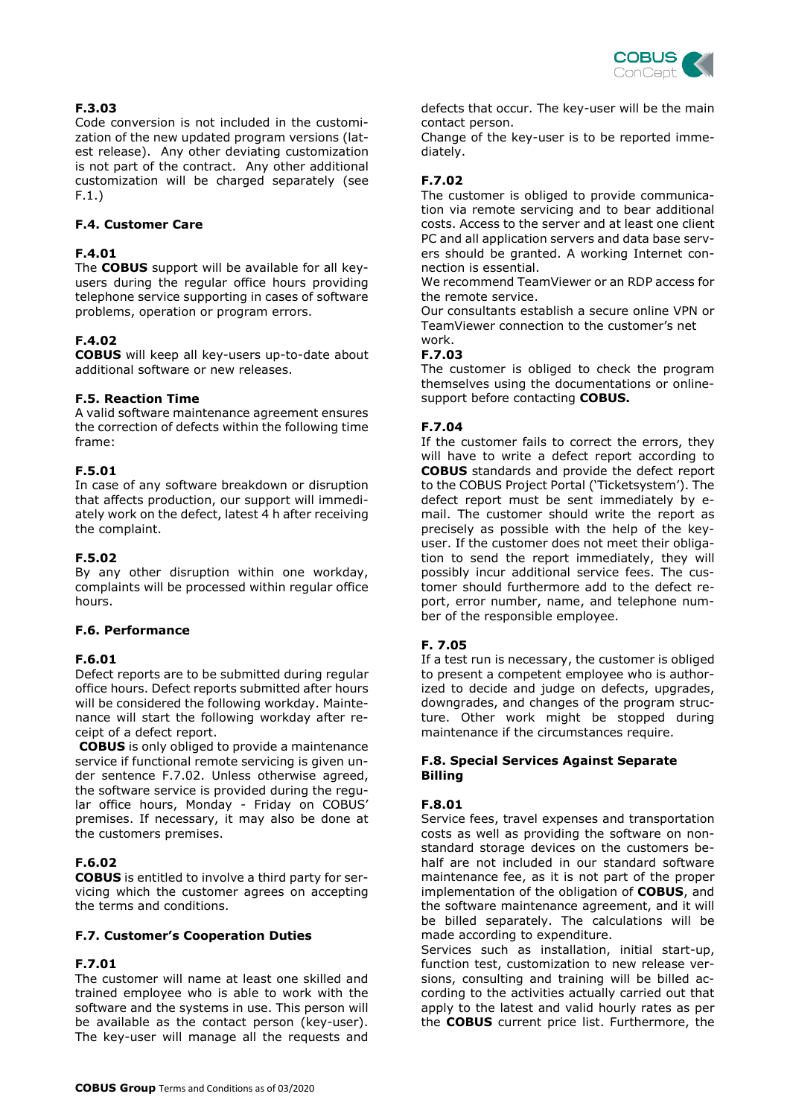

## **F.3.03**

Code conversion is not included in the customization of the new updated program versions (latest release). Any other deviating customization is not part of the contract. Any other additional customization will be charged separately (see F.1.)

## **F.4. Customer Care**

## **F.4.01**

The **COBUS** support will be available for all keyusers during the regular office hours providing telephone service supporting in cases of software problems, operation or program errors.

## **F.4.02**

**COBUS** will keep all key-users up-to-date about additional software or new releases.

#### **F.5. Reaction Time**

A valid software maintenance agreement ensures the correction of defects within the following time frame:

#### **F.5.01**

In case of any software breakdown or disruption that affects production, our support will immediately work on the defect, latest 4 h after receiving the complaint.

#### **F.5.02**

By any other disruption within one workday, complaints will be processed within regular office hours.

#### **F.6. Performance**

#### **F.6.01**

Defect reports are to be submitted during regular office hours. Defect reports submitted after hours will be considered the following workday. Maintenance will start the following workday after receipt of a defect report.

**COBUS** is only obliged to provide a maintenance service if functional remote servicing is given under sentence F.7.02. Unless otherwise agreed, the software service is provided during the regular office hours, Monday - Friday on COBUS' premises. If necessary, it may also be done at the customers premises.

## **F.6.02**

**COBUS** is entitled to involve a third party for servicing which the customer agrees on accepting the terms and conditions.

#### **F.7. Customer's Cooperation Duties**

## **F.7.01**

The customer will name at least one skilled and trained employee who is able to work with the software and the systems in use. This person will be available as the contact person (key-user). The key-user will manage all the requests and defects that occur. The key-user will be the main contact person.

Change of the key-user is to be reported immediately.

## **F.7.02**

The customer is obliged to provide communication via remote servicing and to bear additional costs. Access to the server and at least one client PC and all application servers and data base servers should be granted. A working Internet connection is essential.

We recommend TeamViewer or an RDP access for the remote service.

Our consultants establish a secure online VPN or TeamViewer connection to the customer's net work.

#### **F.7.03**

The customer is obliged to check the program themselves using the documentations or onlinesupport before contacting **COBUS.**

#### **F.7.04**

If the customer fails to correct the errors, they will have to write a defect report according to **COBUS** standards and provide the defect report to the COBUS Project Portal ('Ticketsystem'). The defect report must be sent immediately by email. The customer should write the report as precisely as possible with the help of the keyuser. If the customer does not meet their obligation to send the report immediately, they will possibly incur additional service fees. The customer should furthermore add to the defect report, error number, name, and telephone number of the responsible employee.

#### **F. 7.05**

If a test run is necessary, the customer is obliged to present a competent employee who is authorized to decide and judge on defects, upgrades, downgrades, and changes of the program structure. Other work might be stopped during maintenance if the circumstances require.

#### **F.8. Special Services Against Separate Billing**

#### **F.8.01**

Service fees, travel expenses and transportation costs as well as providing the software on nonstandard storage devices on the customers behalf are not included in our standard software maintenance fee, as it is not part of the proper implementation of the obligation of **COBUS**, and the software maintenance agreement, and it will be billed separately. The calculations will be made according to expenditure.

Services such as installation, initial start-up, function test, customization to new release versions, consulting and training will be billed according to the activities actually carried out that apply to the latest and valid hourly rates as per the **COBUS** current price list. Furthermore, the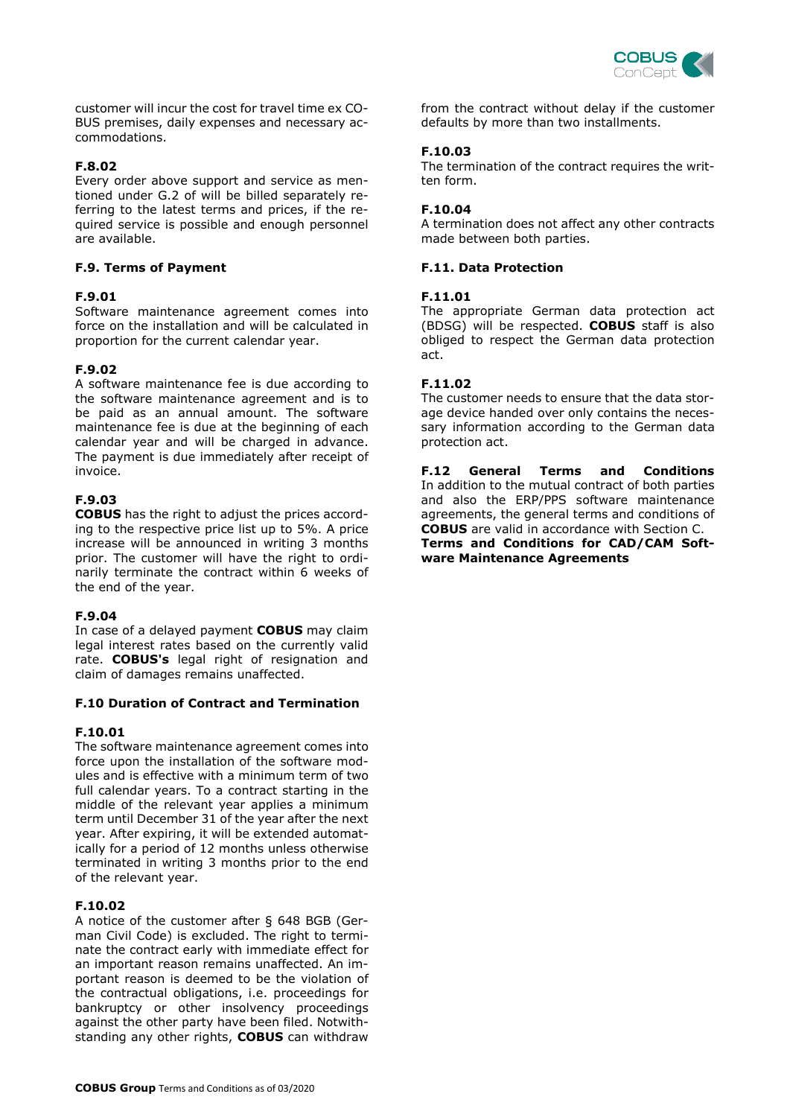

customer will incur the cost for travel time ex CO-BUS premises, daily expenses and necessary accommodations.

#### **F.8.02**

Every order above support and service as mentioned under G.2 of will be billed separately referring to the latest terms and prices, if the required service is possible and enough personnel are available.

#### **F.9. Terms of Payment**

#### **F.9.01**

Software maintenance agreement comes into force on the installation and will be calculated in proportion for the current calendar year.

#### **F.9.02**

A software maintenance fee is due according to the software maintenance agreement and is to be paid as an annual amount. The software maintenance fee is due at the beginning of each calendar year and will be charged in advance. The payment is due immediately after receipt of invoice.

#### **F.9.03**

**COBUS** has the right to adjust the prices according to the respective price list up to 5%. A price increase will be announced in writing 3 months prior. The customer will have the right to ordinarily terminate the contract within 6 weeks of the end of the year.

#### **F.9.04**

In case of a delayed payment **COBUS** may claim legal interest rates based on the currently valid rate. **COBUS's** legal right of resignation and claim of damages remains unaffected.

#### **F.10 Duration of Contract and Termination**

#### **F.10.01**

The software maintenance agreement comes into force upon the installation of the software modules and is effective with a minimum term of two full calendar years. To a contract starting in the middle of the relevant year applies a minimum term until December 31 of the year after the next year. After expiring, it will be extended automatically for a period of 12 months unless otherwise terminated in writing 3 months prior to the end of the relevant year.

#### **F.10.02**

A notice of the customer after § 648 BGB (German Civil Code) is excluded. The right to terminate the contract early with immediate effect for an important reason remains unaffected. An important reason is deemed to be the violation of the contractual obligations, i.e. proceedings for bankruptcy or other insolvency proceedings against the other party have been filed. Notwithstanding any other rights, **COBUS** can withdraw

from the contract without delay if the customer defaults by more than two installments.

#### **F.10.03**

The termination of the contract requires the written form.

#### **F.10.04**

A termination does not affect any other contracts made between both parties.

#### **F.11. Data Protection**

#### **F.11.01**

The appropriate German data protection act (BDSG) will be respected. **COBUS** staff is also obliged to respect the German data protection act.

#### **F.11.02**

The customer needs to ensure that the data storage device handed over only contains the necessary information according to the German data protection act.

**F.12 General Terms and Conditions** In addition to the mutual contract of both parties and also the ERP/PPS software maintenance agreements, the general terms and conditions of **COBUS** are valid in accordance with Section C. **Terms and Conditions for CAD/CAM Soft-**

**ware Maintenance Agreements**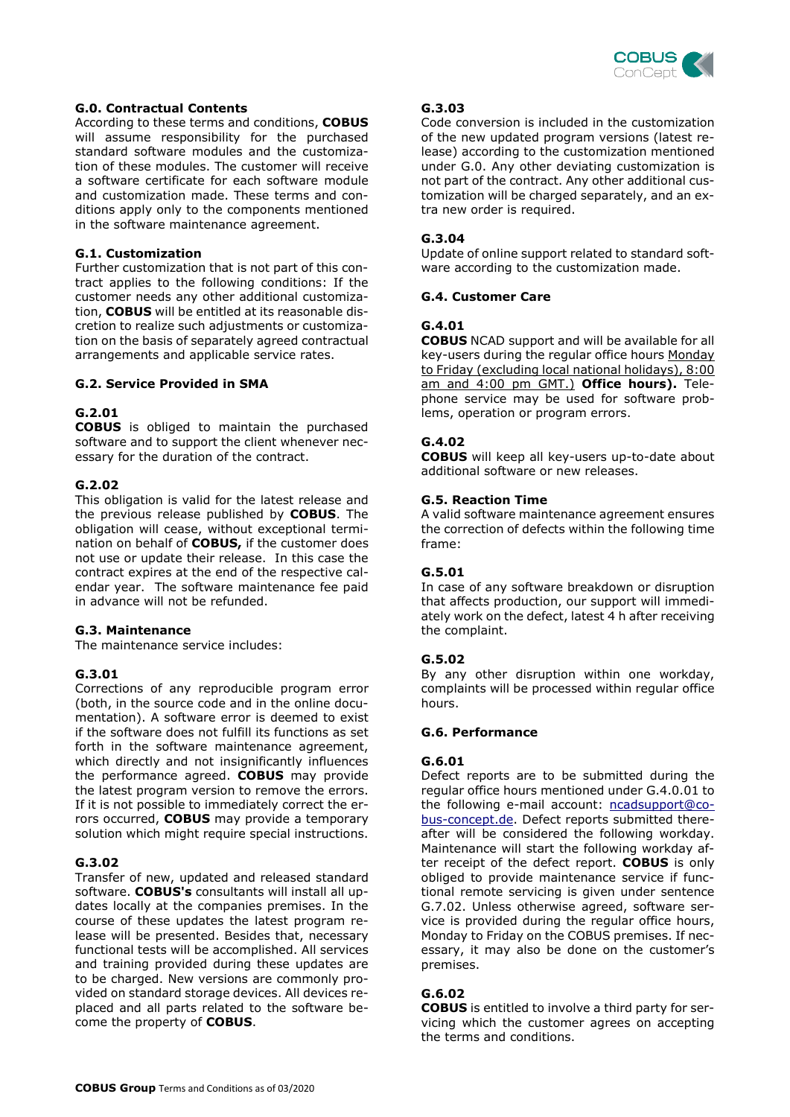

#### **G.0. Contractual Contents**

According to these terms and conditions, **COBUS** will assume responsibility for the purchased standard software modules and the customization of these modules. The customer will receive a software certificate for each software module and customization made. These terms and conditions apply only to the components mentioned in the software maintenance agreement.

#### **G.1. Customization**

Further customization that is not part of this contract applies to the following conditions: If the customer needs any other additional customization, **COBUS** will be entitled at its reasonable discretion to realize such adjustments or customization on the basis of separately agreed contractual arrangements and applicable service rates.

#### **G.2. Service Provided in SMA**

#### **G.2.01**

**COBUS** is obliged to maintain the purchased software and to support the client whenever necessary for the duration of the contract.

#### **G.2.02**

This obligation is valid for the latest release and the previous release published by **COBUS**. The obligation will cease, without exceptional termination on behalf of **COBUS,** if the customer does not use or update their release. In this case the contract expires at the end of the respective calendar year. The software maintenance fee paid in advance will not be refunded.

#### **G.3. Maintenance**

The maintenance service includes:

#### **G.3.01**

Corrections of any reproducible program error (both, in the source code and in the online documentation). A software error is deemed to exist if the software does not fulfill its functions as set forth in the software maintenance agreement, which directly and not insignificantly influences the performance agreed. **COBUS** may provide the latest program version to remove the errors. If it is not possible to immediately correct the errors occurred, **COBUS** may provide a temporary solution which might require special instructions.

#### **G.3.02**

Transfer of new, updated and released standard software. **COBUS's** consultants will install all updates locally at the companies premises. In the course of these updates the latest program release will be presented. Besides that, necessary functional tests will be accomplished. All services and training provided during these updates are to be charged. New versions are commonly provided on standard storage devices. All devices replaced and all parts related to the software become the property of **COBUS**.

#### **G.3.03**

Code conversion is included in the customization of the new updated program versions (latest release) according to the customization mentioned under G.0. Any other deviating customization is not part of the contract. Any other additional customization will be charged separately, and an extra new order is required.

#### **G.3.04**

Update of online support related to standard software according to the customization made.

#### **G.4. Customer Care**

#### **G.4.01**

**COBUS** NCAD support and will be available for all key-users during the regular office hours Monday to Friday (excluding local national holidays), 8:00 am and 4:00 pm GMT.) **Office hours).** Telephone service may be used for software problems, operation or program errors.

#### **G.4.02**

**COBUS** will keep all key-users up-to-date about additional software or new releases.

#### **G.5. Reaction Time**

A valid software maintenance agreement ensures the correction of defects within the following time frame:

#### **G.5.01**

In case of any software breakdown or disruption that affects production, our support will immediately work on the defect, latest 4 h after receiving the complaint.

#### **G.5.02**

By any other disruption within one workday, complaints will be processed within regular office hours.

#### **G.6. Performance**

#### **G.6.01**

Defect reports are to be submitted during the regular office hours mentioned under G.4.0.01 to the following e-mail account: [ncadsupport@co](mailto:ncadsupport@cobus-concept.de)[bus-concept.de.](mailto:ncadsupport@cobus-concept.de) Defect reports submitted thereafter will be considered the following workday. Maintenance will start the following workday after receipt of the defect report. **COBUS** is only obliged to provide maintenance service if functional remote servicing is given under sentence G.7.02. Unless otherwise agreed, software service is provided during the regular office hours, Monday to Friday on the COBUS premises. If necessary, it may also be done on the customer's premises.

#### **G.6.02**

**COBUS** is entitled to involve a third party for servicing which the customer agrees on accepting the terms and conditions.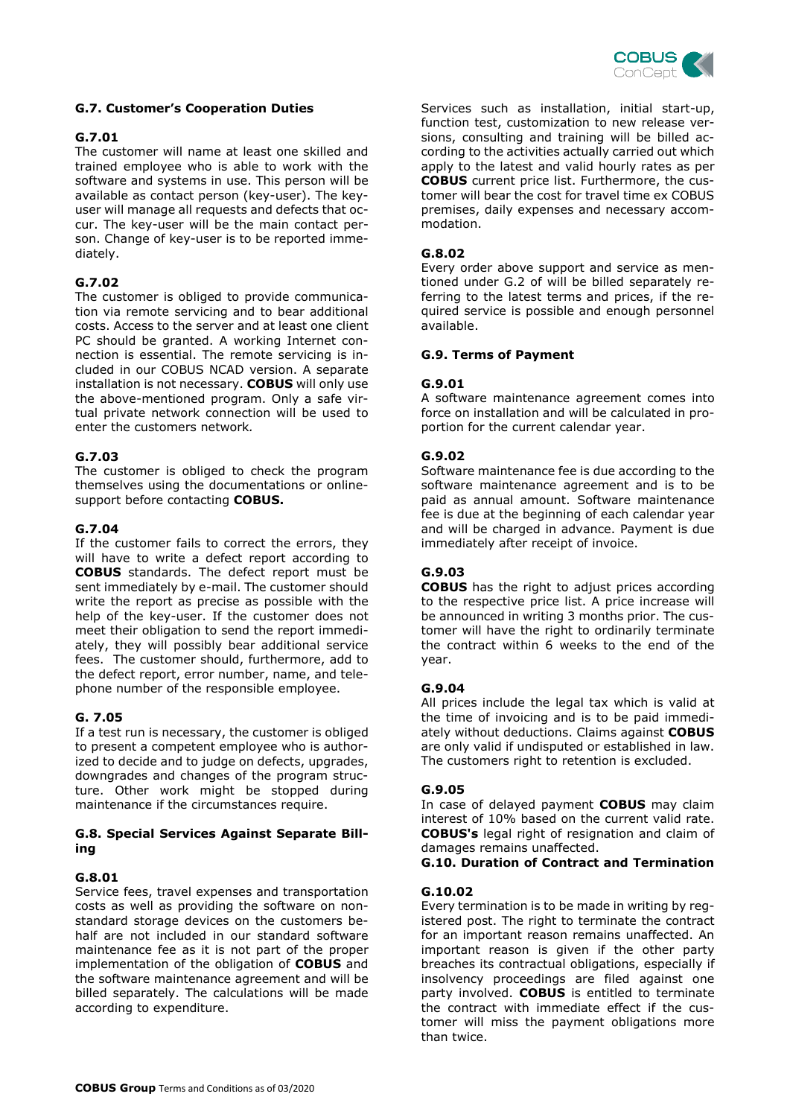

#### **G.7. Customer's Cooperation Duties**

#### **G.7.01**

The customer will name at least one skilled and trained employee who is able to work with the software and systems in use. This person will be available as contact person (key-user). The keyuser will manage all requests and defects that occur. The key-user will be the main contact person. Change of key-user is to be reported immediately.

#### **G.7.02**

The customer is obliged to provide communication via remote servicing and to bear additional costs. Access to the server and at least one client PC should be granted. A working Internet connection is essential. The remote servicing is included in our COBUS NCAD version. A separate installation is not necessary. **COBUS** will only use the above-mentioned program. Only a safe virtual private network connection will be used to enter the customers network*.*

#### **G.7.03**

The customer is obliged to check the program themselves using the documentations or onlinesupport before contacting **COBUS.**

#### **G.7.04**

If the customer fails to correct the errors, they will have to write a defect report according to **COBUS** standards. The defect report must be sent immediately by e-mail. The customer should write the report as precise as possible with the help of the key-user. If the customer does not meet their obligation to send the report immediately, they will possibly bear additional service fees. The customer should, furthermore, add to the defect report, error number, name, and telephone number of the responsible employee.

#### **G. 7.05**

If a test run is necessary, the customer is obliged to present a competent employee who is authorized to decide and to judge on defects, upgrades, downgrades and changes of the program structure. Other work might be stopped during maintenance if the circumstances require.

#### **G.8. Special Services Against Separate Billing**

#### **G.8.01**

Service fees, travel expenses and transportation costs as well as providing the software on nonstandard storage devices on the customers behalf are not included in our standard software maintenance fee as it is not part of the proper implementation of the obligation of **COBUS** and the software maintenance agreement and will be billed separately. The calculations will be made according to expenditure.

Services such as installation, initial start-up, function test, customization to new release versions, consulting and training will be billed according to the activities actually carried out which apply to the latest and valid hourly rates as per **COBUS** current price list. Furthermore, the customer will bear the cost for travel time ex COBUS premises, daily expenses and necessary accommodation.

#### **G.8.02**

Every order above support and service as mentioned under G.2 of will be billed separately referring to the latest terms and prices, if the required service is possible and enough personnel available.

#### **G.9. Terms of Payment**

#### **G.9.01**

A software maintenance agreement comes into force on installation and will be calculated in proportion for the current calendar year.

#### **G.9.02**

Software maintenance fee is due according to the software maintenance agreement and is to be paid as annual amount. Software maintenance fee is due at the beginning of each calendar year and will be charged in advance. Payment is due immediately after receipt of invoice.

#### **G.9.03**

**COBUS** has the right to adjust prices according to the respective price list. A price increase will be announced in writing 3 months prior. The customer will have the right to ordinarily terminate the contract within 6 weeks to the end of the year.

#### **G.9.04**

All prices include the legal tax which is valid at the time of invoicing and is to be paid immediately without deductions. Claims against **COBUS** are only valid if undisputed or established in law. The customers right to retention is excluded.

#### **G.9.05**

In case of delayed payment **COBUS** may claim interest of 10% based on the current valid rate. **COBUS's** legal right of resignation and claim of damages remains unaffected.

#### **G.10. Duration of Contract and Termination**

#### **G.10.02**

Every termination is to be made in writing by registered post. The right to terminate the contract for an important reason remains unaffected. An important reason is given if the other party breaches its contractual obligations, especially if insolvency proceedings are filed against one party involved. **COBUS** is entitled to terminate the contract with immediate effect if the customer will miss the payment obligations more than twice.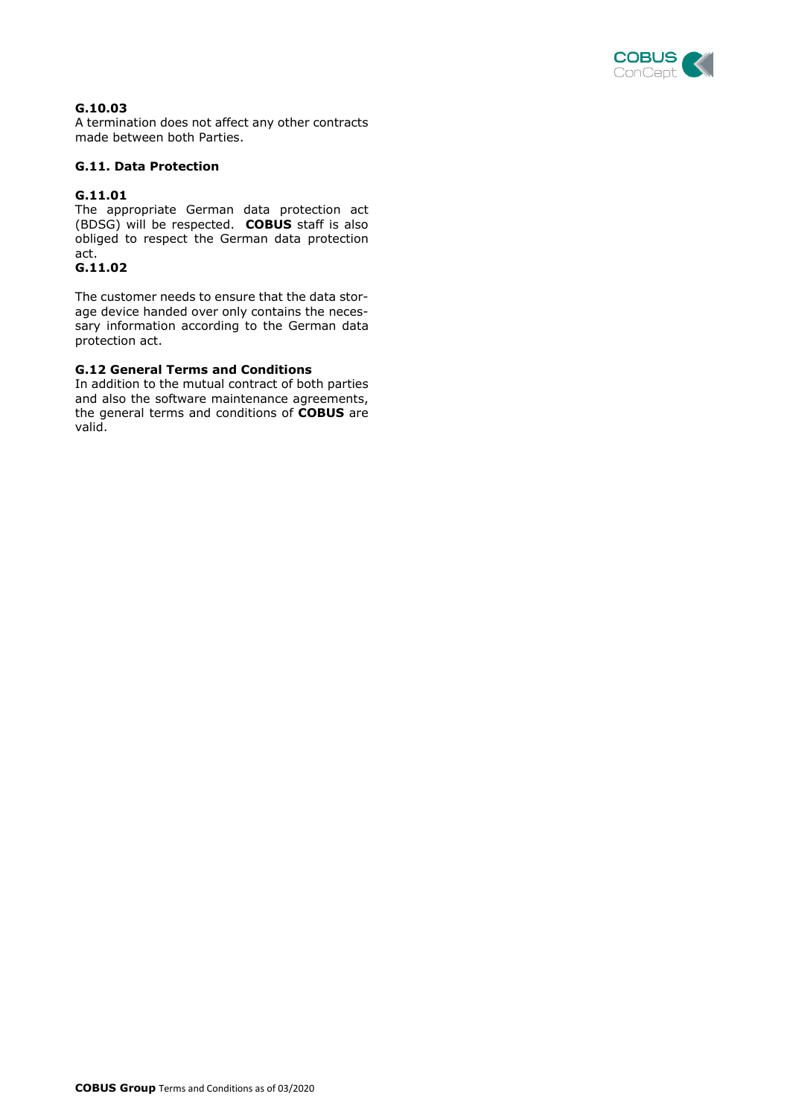

## **G.10.03**

A termination does not affect any other contracts made between both Parties.

## **G.11. Data Protection**

## **G.11.01**

The appropriate German data protection act (BDSG) will be respected. **COBUS** staff is also obliged to respect the German data protection act.

## **G.11.02**

The customer needs to ensure that the data storage device handed over only contains the necessary information according to the German data protection act.

## **G.12 General Terms and Conditions**

In addition to the mutual contract of both parties and also the software maintenance agreements, the general terms and conditions of **COBUS** are valid.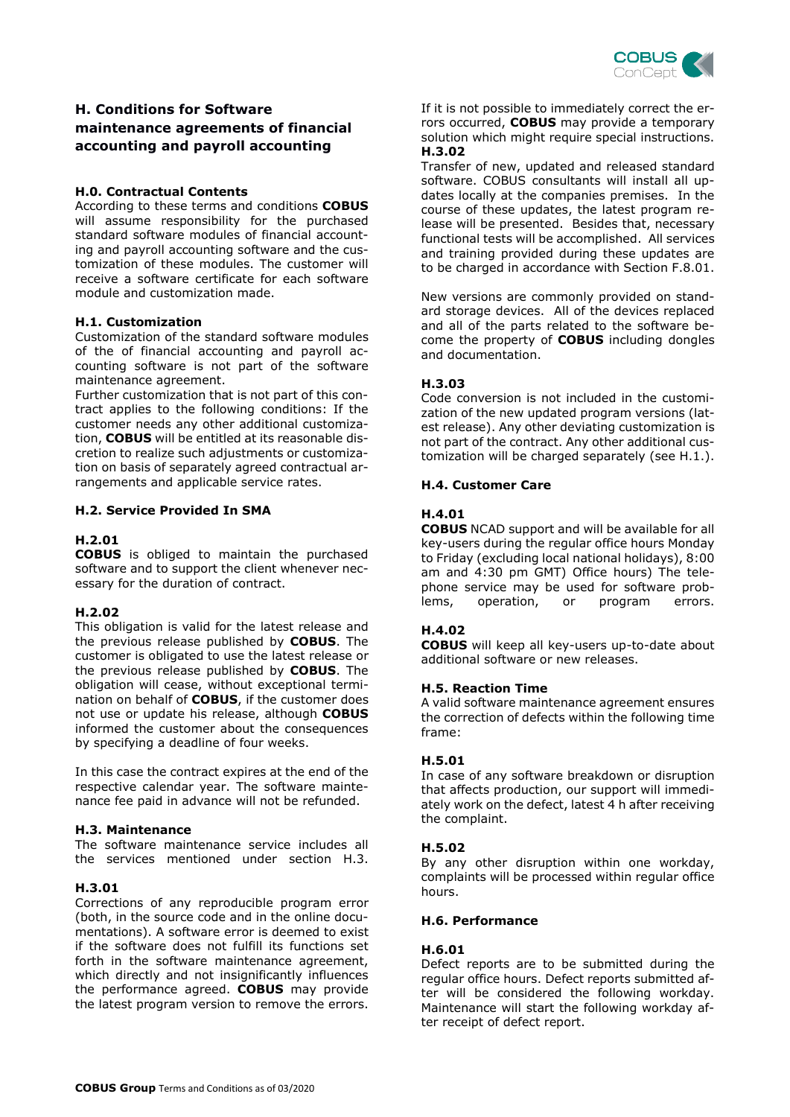

## **H. Conditions for Software maintenance agreements of financial accounting and payroll accounting**

#### **H.0. Contractual Contents**

According to these terms and conditions **COBUS** will assume responsibility for the purchased standard software modules of financial accounting and payroll accounting software and the customization of these modules. The customer will receive a software certificate for each software module and customization made.

#### **H.1. Customization**

Customization of the standard software modules of the of financial accounting and payroll accounting software is not part of the software maintenance agreement.

Further customization that is not part of this contract applies to the following conditions: If the customer needs any other additional customization, **COBUS** will be entitled at its reasonable discretion to realize such adjustments or customization on basis of separately agreed contractual arrangements and applicable service rates.

#### **H.2. Service Provided In SMA**

#### **H.2.01**

**COBUS** is obliged to maintain the purchased software and to support the client whenever necessary for the duration of contract.

#### **H.2.02**

This obligation is valid for the latest release and the previous release published by **COBUS**. The customer is obligated to use the latest release or the previous release published by **COBUS**. The obligation will cease, without exceptional termination on behalf of **COBUS**, if the customer does not use or update his release, although **COBUS** informed the customer about the consequences by specifying a deadline of four weeks.

In this case the contract expires at the end of the respective calendar year. The software maintenance fee paid in advance will not be refunded.

#### **H.3. Maintenance**

The software maintenance service includes all the services mentioned under section H.3.

#### **H.3.01**

Corrections of any reproducible program error (both, in the source code and in the online documentations). A software error is deemed to exist if the software does not fulfill its functions set forth in the software maintenance agreement, which directly and not insignificantly influences the performance agreed. **COBUS** may provide the latest program version to remove the errors.

If it is not possible to immediately correct the errors occurred, **COBUS** may provide a temporary solution which might require special instructions. **H.3.02**

Transfer of new, updated and released standard software. COBUS consultants will install all updates locally at the companies premises. In the course of these updates, the latest program release will be presented. Besides that, necessary functional tests will be accomplished. All services and training provided during these updates are to be charged in accordance with Section F.8.01.

New versions are commonly provided on standard storage devices. All of the devices replaced and all of the parts related to the software become the property of **COBUS** including dongles and documentation.

#### **H.3.03**

Code conversion is not included in the customization of the new updated program versions (latest release). Any other deviating customization is not part of the contract. Any other additional customization will be charged separately (see H.1.).

#### **H.4. Customer Care**

#### **H.4.01**

**COBUS** NCAD support and will be available for all key-users during the regular office hours Monday to Friday (excluding local national holidays), 8:00 am and 4:30 pm GMT) Office hours) The telephone service may be used for software problems, operation, or program errors.

#### **H.4.02**

**COBUS** will keep all key-users up-to-date about additional software or new releases.

#### **H.5. Reaction Time**

A valid software maintenance agreement ensures the correction of defects within the following time frame:

#### **H.5.01**

In case of any software breakdown or disruption that affects production, our support will immediately work on the defect, latest 4 h after receiving the complaint.

#### **H.5.02**

By any other disruption within one workday, complaints will be processed within regular office hours.

#### **H.6. Performance**

#### **H.6.01**

Defect reports are to be submitted during the regular office hours. Defect reports submitted after will be considered the following workday. Maintenance will start the following workday after receipt of defect report.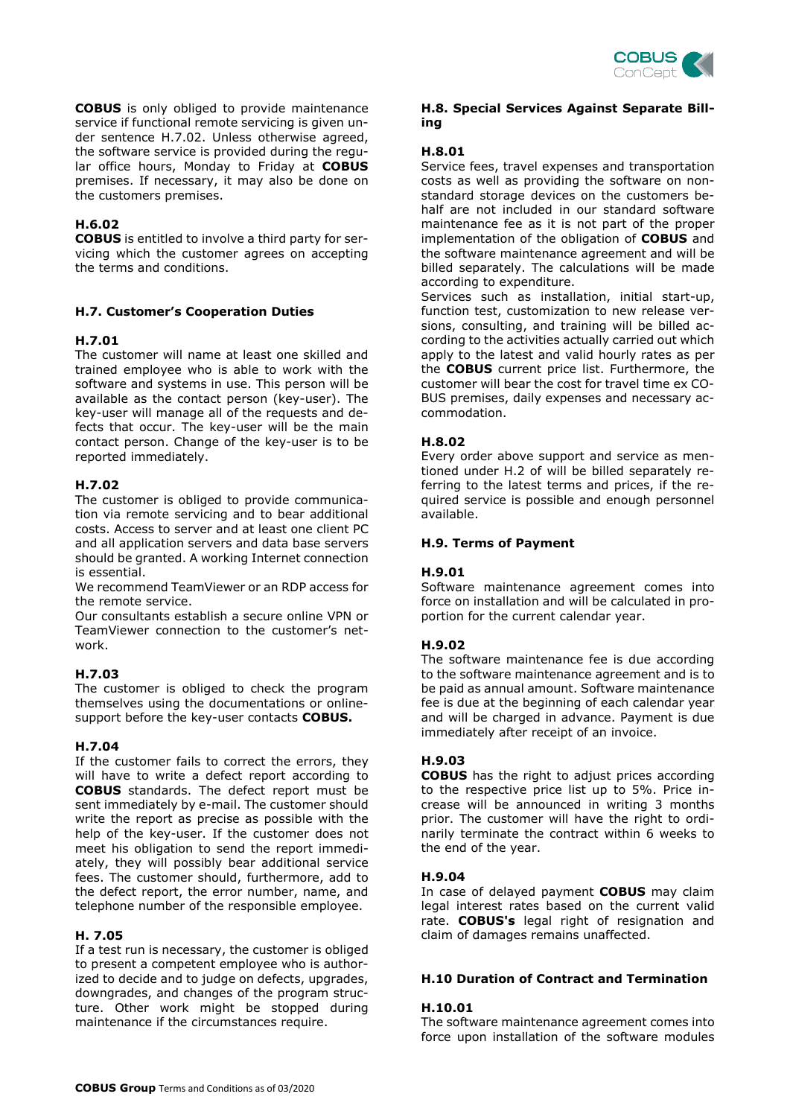

**COBUS** is only obliged to provide maintenance service if functional remote servicing is given under sentence H.7.02. Unless otherwise agreed, the software service is provided during the regular office hours, Monday to Friday at **COBUS** premises. If necessary, it may also be done on the customers premises.

#### **H.6.02**

**COBUS** is entitled to involve a third party for servicing which the customer agrees on accepting the terms and conditions.

## **H.7. Customer's Cooperation Duties**

## **H.7.01**

The customer will name at least one skilled and trained employee who is able to work with the software and systems in use. This person will be available as the contact person (key-user). The key-user will manage all of the requests and defects that occur. The key-user will be the main contact person. Change of the key-user is to be reported immediately.

## **H.7.02**

The customer is obliged to provide communication via remote servicing and to bear additional costs. Access to server and at least one client PC and all application servers and data base servers should be granted. A working Internet connection is essential.

We recommend TeamViewer or an RDP access for the remote service.

Our consultants establish a secure online VPN or TeamViewer connection to the customer's network.

## **H.7.03**

The customer is obliged to check the program themselves using the documentations or onlinesupport before the key-user contacts **COBUS.**

#### **H.7.04**

If the customer fails to correct the errors, they will have to write a defect report according to **COBUS** standards. The defect report must be sent immediately by e-mail. The customer should write the report as precise as possible with the help of the key-user. If the customer does not meet his obligation to send the report immediately, they will possibly bear additional service fees. The customer should, furthermore, add to the defect report, the error number, name, and telephone number of the responsible employee.

#### **H. 7.05**

If a test run is necessary, the customer is obliged to present a competent employee who is authorized to decide and to judge on defects, upgrades, downgrades, and changes of the program structure. Other work might be stopped during maintenance if the circumstances require.

#### **H.8. Special Services Against Separate Billing**

## **H.8.01**

Service fees, travel expenses and transportation costs as well as providing the software on nonstandard storage devices on the customers behalf are not included in our standard software maintenance fee as it is not part of the proper implementation of the obligation of **COBUS** and the software maintenance agreement and will be billed separately. The calculations will be made according to expenditure.

Services such as installation, initial start-up, function test, customization to new release versions, consulting, and training will be billed according to the activities actually carried out which apply to the latest and valid hourly rates as per the **COBUS** current price list. Furthermore, the customer will bear the cost for travel time ex CO-BUS premises, daily expenses and necessary accommodation.

#### **H.8.02**

Every order above support and service as mentioned under H.2 of will be billed separately referring to the latest terms and prices, if the required service is possible and enough personnel available.

#### **H.9. Terms of Payment**

#### **H.9.01**

Software maintenance agreement comes into force on installation and will be calculated in proportion for the current calendar year.

#### **H.9.02**

The software maintenance fee is due according to the software maintenance agreement and is to be paid as annual amount. Software maintenance fee is due at the beginning of each calendar year and will be charged in advance. Payment is due immediately after receipt of an invoice.

#### **H.9.03**

**COBUS** has the right to adjust prices according to the respective price list up to 5%. Price increase will be announced in writing 3 months prior. The customer will have the right to ordinarily terminate the contract within 6 weeks to the end of the year.

#### **H.9.04**

In case of delayed payment **COBUS** may claim legal interest rates based on the current valid rate. **COBUS's** legal right of resignation and claim of damages remains unaffected.

#### **H.10 Duration of Contract and Termination**

#### **H.10.01**

The software maintenance agreement comes into force upon installation of the software modules